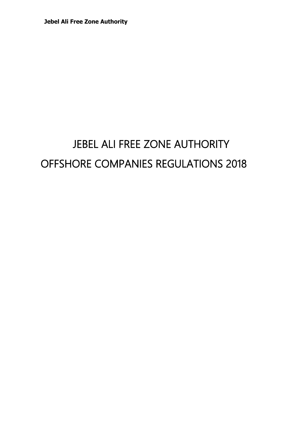# JEBEL ALI FREE ZONE AUTHORITY OFFSHORE COMPANIES REGULATIONS 2018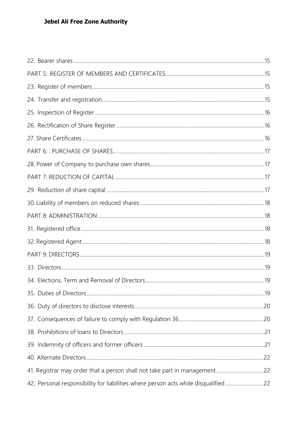| 42. Personal responsibility for liabilities where person acts while disqualified 22 |  |
|-------------------------------------------------------------------------------------|--|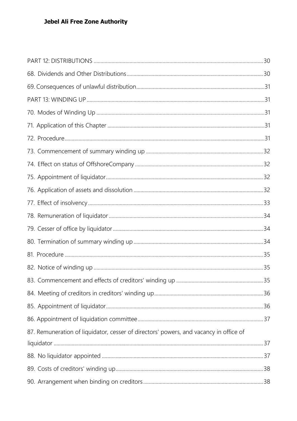| 87. Remuneration of liquidator, cesser of directors' powers, and vacancy in office of |  |
|---------------------------------------------------------------------------------------|--|
|                                                                                       |  |
|                                                                                       |  |
|                                                                                       |  |
|                                                                                       |  |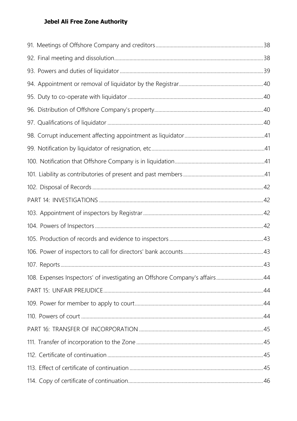| 108. Expenses Inspectors' of investigating an Offshore Company's affairs44 |  |
|----------------------------------------------------------------------------|--|
|                                                                            |  |
|                                                                            |  |
|                                                                            |  |
|                                                                            |  |
|                                                                            |  |
|                                                                            |  |
|                                                                            |  |
|                                                                            |  |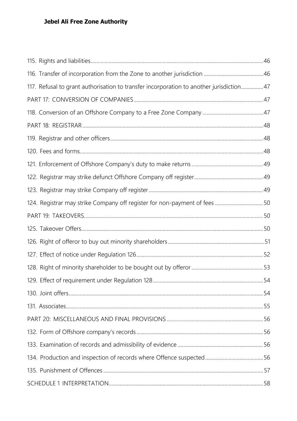| 117. Refusal to grant authorisation to transfer incorporation to another jurisdiction 47 |  |
|------------------------------------------------------------------------------------------|--|
|                                                                                          |  |
|                                                                                          |  |
|                                                                                          |  |
|                                                                                          |  |
|                                                                                          |  |
|                                                                                          |  |
|                                                                                          |  |
|                                                                                          |  |
| 124. Registrar may strike Company off register for non-payment of fees50                 |  |
|                                                                                          |  |
|                                                                                          |  |
|                                                                                          |  |
|                                                                                          |  |
|                                                                                          |  |
|                                                                                          |  |
|                                                                                          |  |
|                                                                                          |  |
|                                                                                          |  |
|                                                                                          |  |
|                                                                                          |  |
|                                                                                          |  |
|                                                                                          |  |
|                                                                                          |  |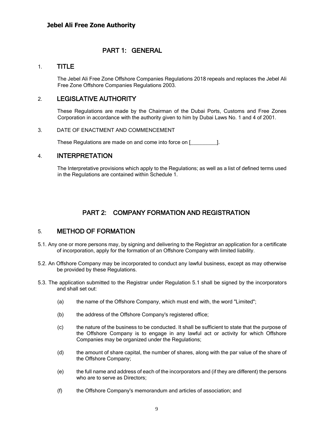## PART 1: GENERAL

#### <span id="page-8-0"></span>1. TITLE

The Jebel Ali Free Zone Offshore Companies Regulations 2018 repeals and replaces the Jebel Ali Free Zone Offshore Companies Regulations 2003.

## <span id="page-8-1"></span>2. LEGISLATIVE AUTHORITY

These Regulations are made by the Chairman of the Dubai Ports, Customs and Free Zones Corporation in accordance with the authority given to him by Dubai Laws No. 1 and 4 of 2001.

#### <span id="page-8-2"></span>3. DATE OF ENACTMENT AND COMMENCEMENT

These Regulations are made on and come into force on [\_\_\_\_\_\_\_\_\_].

## <span id="page-8-3"></span>4. INTERPRETATION

<span id="page-8-4"></span>The Interpretative provisions which apply to the Regulations; as well as a list of defined terms used in the Regulations are contained within Schedule 1.

# PART 2: COMPANY FORMATION AND REGISTRATION

## 5. METHOD OF FORMATION

- <span id="page-8-5"></span>5.1. Any one or more persons may, by signing and delivering to the Registrar an application for a certificate of incorporation, apply for the formation of an Offshore Company with limited liability.
- <span id="page-8-6"></span>5.2. An Offshore Company may be incorporated to conduct any lawful business, except as may otherwise be provided by these Regulations.
- 5.3. The application submitted to the Registrar under Regulation 5.1 shall be signed by the incorporators and shall set out:
	- (a) the name of the Offshore Company, which must end with, the word "Limited";
	- (b) the address of the Offshore Company's registered office;
	- (c) the nature of the business to be conducted. It shall be sufficient to state that the purpose of the Offshore Company is to engage in any lawful act or activity for which Offshore Companies may be organized under the Regulations;
	- (d) the amount of share capital, the number of shares, along with the par value of the share of the Offshore Company;
	- (e) the full name and address of each of the incorporators and (if they are different) the persons who are to serve as Directors;
	- (f) the Offshore Company's memorandum and articles of association; and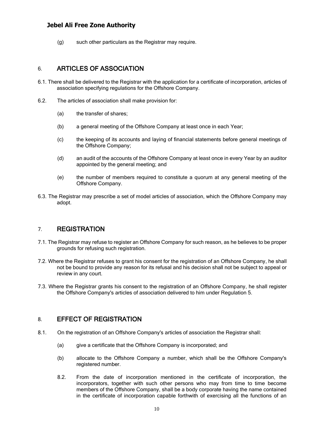(g) such other particulars as the Registrar may require.

## 6. ARTICLES OF ASSOCIATION

- 6.1. There shall be delivered to the Registrar with the application for a certificate of incorporation, articles of association specifying regulations for the Offshore Company.
- <span id="page-9-0"></span>6.2. The articles of association shall make provision for:
	- (a) the transfer of shares;
	- (b) a general meeting of the Offshore Company at least once in each Year;
	- (c) the keeping of its accounts and laying of financial statements before general meetings of the Offshore Company;
	- (d) an audit of the accounts of the Offshore Company at least once in every Year by an auditor appointed by the general meeting; and
	- (e) the number of members required to constitute a quorum at any general meeting of the Offshore Company.
- 6.3. The Registrar may prescribe a set of model articles of association, which the Offshore Company may adopt.

## 7. REGISTRATION

- 7.1. The Registrar may refuse to register an Offshore Company for such reason, as he believes to be proper grounds for refusing such registration.
- <span id="page-9-1"></span>7.2. Where the Registrar refuses to grant his consent for the registration of an Offshore Company, he shall not be bound to provide any reason for its refusal and his decision shall not be subject to appeal or review in any court.
- 7.3. Where the Registrar grants his consent to the registration of an Offshore Company, he shall register the Offshore Company's articles of association delivered to him under Regulation 5.

## 8. EFFECT OF REGISTRATION

- <span id="page-9-2"></span>8.1. On the registration of an Offshore Company's articles of association the Registrar shall:
	- (a) give a certificate that the Offshore Company is incorporated; and
	- (b) allocate to the Offshore Company a number, which shall be the Offshore Company's registered number.
	- 8.2. From the date of incorporation mentioned in the certificate of incorporation, the incorporators, together with such other persons who may from time to time become members of the Offshore Company, shall be a body corporate having the name contained in the certificate of incorporation capable forthwith of exercising all the functions of an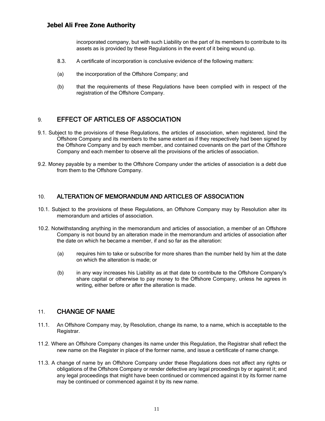incorporated company, but with such Liability on the part of its members to contribute to its assets as is provided by these Regulations in the event of it being wound up.

- 8.3. A certificate of incorporation is conclusive evidence of the following matters:
- (a) the incorporation of the Offshore Company; and
- (b) that the requirements of these Regulations have been complied with in respect of the registration of the Offshore Company.

## 9. EFFECT OF ARTICLES OF ASSOCIATION

- <span id="page-10-0"></span>9.1. Subject to the provisions of these Regulations, the articles of association, when registered, bind the Offshore Company and its members to the same extent as if they respectively had been signed by the Offshore Company and by each member, and contained covenants on the part of the Offshore Company and each member to observe all the provisions of the articles of association.
- 9.2. Money payable by a member to the Offshore Company under the articles of association is a debt due from them to the Offshore Company.

## 10. ALTERATION OF MEMORANDUM AND ARTICLES OF ASSOCIATION

- 10.1. Subject to the provisions of these Regulations, an Offshore Company may by Resolution alter its memorandum and articles of association.
- <span id="page-10-1"></span>10.2. Notwithstanding anything in the memorandum and articles of association, a member of an Offshore Company is not bound by an alteration made in the memorandum and articles of association after the date on which he became a member, if and so far as the alteration:
	- (a) requires him to take or subscribe for more shares than the number held by him at the date on which the alteration is made; or
	- (b) in any way increases his Liability as at that date to contribute to the Offshore Company's share capital or otherwise to pay money to the Offshore Company, unless he agrees in writing, either before or after the alteration is made.

## 11. CHANGE OF NAME

- 11.1. An Offshore Company may, by Resolution, change its name, to a name, which is acceptable to the Registrar.
- <span id="page-10-2"></span>11.2. Where an Offshore Company changes its name under this Regulation, the Registrar shall reflect the new name on the Register in place of the former name, and issue a certificate of name change.
- 11.3. A change of name by an Offshore Company under these Regulations does not affect any rights or obligations of the Offshore Company or render defective any legal proceedings by or against it; and any legal proceedings that might have been continued or commenced against it by its former name may be continued or commenced against it by its new name.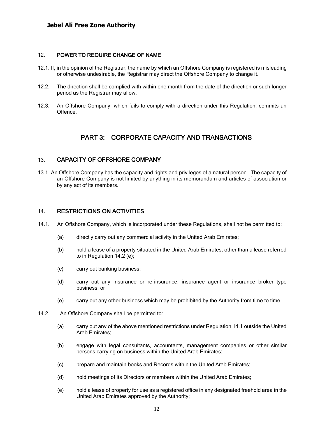#### 12. POWER TO REQUIRE CHANGE OF NAME

- 12.1. If, in the opinion of the Registrar, the name by which an Offshore Company is registered is misleading or otherwise undesirable, the Registrar may direct the Offshore Company to change it.
- <span id="page-11-0"></span>12.2. The direction shall be complied with within one month from the date of the direction or such longer period as the Registrar may allow.
- 12.3. An Offshore Company, which fails to comply with a direction under this Regulation, commits an Offence.

## PART 3: CORPORATE CAPACITY AND TRANSACTIONS

#### <span id="page-11-1"></span>13. CAPACITY OF OFFSHORE COMPANY

<span id="page-11-2"></span>13.1. An Offshore Company has the capacity and rights and privileges of a natural person. The capacity of an Offshore Company is not limited by anything in its memorandum and articles of association or by any act of its members.

#### 14. RESTRICTIONS ON ACTIVITIES

- <span id="page-11-3"></span>14.1. An Offshore Company, which is incorporated under these Regulations, shall not be permitted to:
	- (a) directly carry out any commercial activity in the United Arab Emirates;
	- (b) hold a lease of a property situated in the United Arab Emirates, other than a lease referred to in Regulation 14.2 (e);
	- (c) carry out banking business;
	- (d) carry out any insurance or re-insurance, insurance agent or insurance broker type business; or
	- (e) carry out any other business which may be prohibited by the Authority from time to time.
- 14.2. An Offshore Company shall be permitted to:
	- (a) carry out any of the above mentioned restrictions under Regulation 14.1 outside the United Arab Emirates;
	- (b) engage with legal consultants, accountants, management companies or other similar persons carrying on business within the United Arab Emirates;
	- (c) prepare and maintain books and Records within the United Arab Emirates;
	- (d) hold meetings of its Directors or members within the United Arab Emirates;
	- (e) hold a lease of property for use as a registered office in any designated freehold area in the United Arab Emirates approved by the Authority;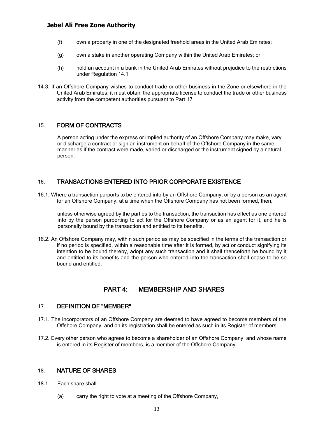- (f) own a property in one of the designated freehold areas in the United Arab Emirates;
- (g) own a stake in another operating Company within the United Arab Emirates; or
- (h) hold an account in a bank in the United Arab Emirates without prejudice to the restrictions under Regulation 14.1
- 14.3. If an Offshore Company wishes to conduct trade or other business in the Zone or elsewhere in the United Arab Emirates, it must obtain the appropriate license to conduct the trade or other business activity from the competent authorities pursuant to Part 17.

## 15. FORM OF CONTRACTS

<span id="page-12-0"></span>A person acting under the express or implied authority of an Offshore Company may make, vary or discharge a contract or sign an instrument on behalf of the Offshore Company in the same manner as if the contract were made, varied or discharged or the instrument signed by a natural person.

## 16. TRANSACTIONS ENTERED INTO PRIOR CORPORATE EXISTENCE

<span id="page-12-1"></span>16.1. Where a transaction purports to be entered into by an Offshore Company, or by a person as an agent for an Offshore Company, at a time when the Offshore Company has not been formed, then,

unless otherwise agreed by the parties to the transaction, the transaction has effect as one entered into by the person purporting to act for the Offshore Company or as an agent for it, and he is personally bound by the transaction and entitled to its benefits.

16.2. An Offshore Company may, within such period as may be specified in the terms of the transaction or if no period is specified, within a reasonable time after it is formed, by act or conduct signifying its intention to be bound thereby, adopt any such transaction and it shall thenceforth be bound by it and entitled to its benefits and the person who entered into the transaction shall cease to be so bound and entitled.

## PART 4: MEMBERSHIP AND SHARES

#### 17. DEFINITION OF "MEMBER"

- <span id="page-12-2"></span>17.1. The incorporators of an Offshore Company are deemed to have agreed to become members of the Offshore Company, and on its registration shall be entered as such in its Register of members.
- <span id="page-12-3"></span>17.2. Every other person who agrees to become a shareholder of an Offshore Company, and whose name is entered in its Register of members, is a member of the Offshore Company.

#### 18. NATURE OF SHARES

- <span id="page-12-4"></span>18.1. Each share shall:
	- (a) carry the right to vote at a meeting of the Offshore Company,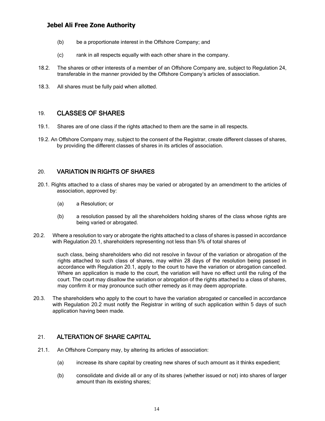- (b) be a proportionate interest in the Offshore Company; and
- (c) rank in all respects equally with each other share in the company.
- 18.2. The shares or other interests of a member of an Offshore Company are, subject to Regulation 24, transferable in the manner provided by the Offshore Company's articles of association.
- 18.3. All shares must be fully paid when allotted.

## 19. CLASSES OF SHARES

- 19.1. Shares are of one class if the rights attached to them are the same in all respects.
- <span id="page-13-0"></span>19.2. An Offshore Company may, subject to the consent of the Registrar, create different classes of shares, by providing the different classes of shares in its articles of association.

## 20. VARIATION IN RIGHTS OF SHARES

- <span id="page-13-1"></span>20.1. Rights attached to a class of shares may be varied or abrogated by an amendment to the articles of association, approved by:
	- (a) a Resolution; or
	- (b) a resolution passed by all the shareholders holding shares of the class whose rights are being varied or abrogated.
- 20.2. Where a resolution to vary or abrogate the rights attached to a class of shares is passed in accordance with Regulation 20.1, shareholders representing not less than 5% of total shares of

such class, being shareholders who did not resolve in favour of the variation or abrogation of the rights attached to such class of shares, may within 28 days of the resolution being passed in accordance with Regulation 20.1, apply to the court to have the variation or abrogation cancelled. Where an application is made to the court, the variation will have no effect until the ruling of the court. The court may disallow the variation or abrogation of the rights attached to a class of shares, may confirm it or may pronounce such other remedy as it may deem appropriate.

20.3. The shareholders who apply to the court to have the variation abrogated or cancelled in accordance with Regulation 20.2 must notify the Registrar in writing of such application within 5 days of such application having been made.

## 21. ALTERATION OF SHARE CAPITAL

- <span id="page-13-2"></span>21.1. An Offshore Company may, by altering its articles of association:
	- (a) increase its share capital by creating new shares of such amount as it thinks expedient;
	- (b) consolidate and divide all or any of its shares (whether issued or not) into shares of larger amount than its existing shares;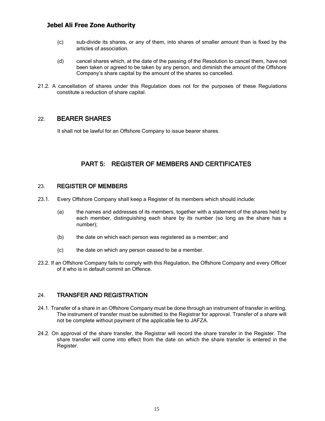- (c) sub-divide its shares, or any of them, into shares of smaller amount than is fixed by the articles of association.
- (d) cancel shares which, at the date of the passing of the Resolution to cancel them, have not been taken or agreed to be taken by any person, and diminish the amount of the Offshore Company's share capital by the amount of the shares so cancelled.
- 21.2. A cancellation of shares under this Regulation does not for the purposes of these Regulations constitute a reduction of share capital.

## 22. BEARER SHARES

<span id="page-14-0"></span>It shall not be lawful for an Offshore Company to issue bearer shares.

## PART 5: REGISTER OF MEMBERS AND CERTIFICATES

#### <span id="page-14-1"></span>23. REGISTER OF MEMBERS

- <span id="page-14-2"></span>23.1. Every Offshore Company shall keep a Register of its members which should include:
	- (a) the names and addresses of its members, together with a statement of the shares held by each member, distinguishing each share by its number (so long as the share has a number);
	- (b) the date on which each person was registered as a member; and
	- (c) the date on which any person ceased to be a member.
- 23.2. If an Offshore Company fails to comply with this Regulation, the Offshore Company and every Officer of it who is in default commit an Offence.

#### 24. TRANSFER AND REGISTRATION

- 24.1. Transfer of a share in an Offshore Company must be done through an instrument of transfer in writing. The instrument of transfer must be submitted to the Registrar for approval. Transfer of a share will not be complete without payment of the applicable fee to JAFZA.
- <span id="page-14-3"></span>24.2. On approval of the share transfer, the Registrar will record the share transfer in the Register. The share transfer will come into effect from the date on which the share transfer is entered in the Register.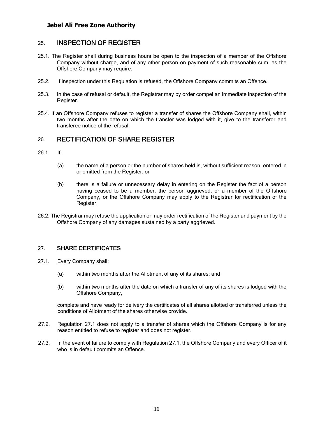## 25. INSPECTION OF REGISTER

- 25.1. The Register shall during business hours be open to the inspection of a member of the Offshore Company without charge, and of any other person on payment of such reasonable sum, as the Offshore Company may require.
- <span id="page-15-0"></span>25.2. If inspection under this Regulation is refused, the Offshore Company commits an Offence.
- 25.3. In the case of refusal or default, the Registrar may by order compel an immediate inspection of the Register.
- 25.4. If an Offshore Company refuses to register a transfer of shares the Offshore Company shall, within two months after the date on which the transfer was lodged with it, give to the transferor and transferee notice of the refusal.

## 26. RECTIFICATION OF SHARE REGISTER

- <span id="page-15-1"></span>26.1. If:
	- (a) the name of a person or the number of shares held is, without sufficient reason, entered in or omitted from the Register; or
	- (b) there is a failure or unnecessary delay in entering on the Register the fact of a person having ceased to be a member, the person aggrieved, or a member of the Offshore Company, or the Offshore Company may apply to the Registrar for rectification of the Register.
- 26.2. The Registrar may refuse the application or may order rectification of the Register and payment by the Offshore Company of any damages sustained by a party aggrieved.

## 27. SHARE CERTIFICATES

- <span id="page-15-2"></span>27.1. Every Company shall:
	- (a) within two months after the Allotment of any of its shares; and
	- (b) within two months after the date on which a transfer of any of its shares is lodged with the Offshore Company,

complete and have ready for delivery the certificates of all shares allotted or transferred unless the conditions of Allotment of the shares otherwise provide.

- 27.2. Regulation 27.1 does not apply to a transfer of shares which the Offshore Company is for any reason entitled to refuse to register and does not register.
- 27.3. In the event of failure to comply with Regulation 27.1, the Offshore Company and every Officer of it who is in default commits an Offence.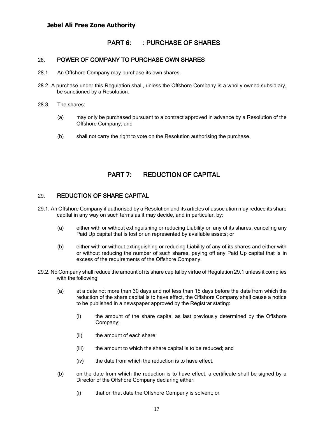## PART 6: : PURCHASE OF SHARES

#### 28. POWER OF COMPANY TO PURCHASE OWN SHARES

- <span id="page-16-0"></span>28.1. An Offshore Company may purchase its own shares.
- <span id="page-16-1"></span>28.2. A purchase under this Regulation shall, unless the Offshore Company is a wholly owned subsidiary, be sanctioned by a Resolution.
- 28.3. The shares:
	- (a) may only be purchased pursuant to a contract approved in advance by a Resolution of the Offshore Company; and
	- (b) shall not carry the right to vote on the Resolution authorising the purchase.

## PART 7: REDUCTION OF CAPITAL

#### <span id="page-16-2"></span>29. REDUCTION OF SHARE CAPITAL

- <span id="page-16-3"></span>29.1. An Offshore Company if authorised by a Resolution and its articles of association may reduce its share capital in any way on such terms as it may decide, and in particular, by:
	- (a) either with or without extinguishing or reducing Liability on any of its shares, canceling any Paid Up capital that is lost or un represented by available assets; or
	- (b) either with or without extinguishing or reducing Liability of any of its shares and either with or without reducing the number of such shares, paying off any Paid Up capital that is in excess of the requirements of the Offshore Company.
- 29.2. No Company shall reduce the amount of its share capital by virtue of Regulation 29.1 unless it complies with the following:
	- (a) at a date not more than 30 days and not less than 15 days before the date from which the reduction of the share capital is to have effect, the Offshore Company shall cause a notice to be published in a newspaper approved by the Registrar stating:
		- (i) the amount of the share capital as last previously determined by the Offshore Company;
		- (ii) the amount of each share;
		- (iii) the amount to which the share capital is to be reduced; and
		- (iv) the date from which the reduction is to have effect.
	- (b) on the date from which the reduction is to have effect, a certificate shall be signed by a Director of the Offshore Company declaring either:
		- (i) that on that date the Offshore Company is solvent; or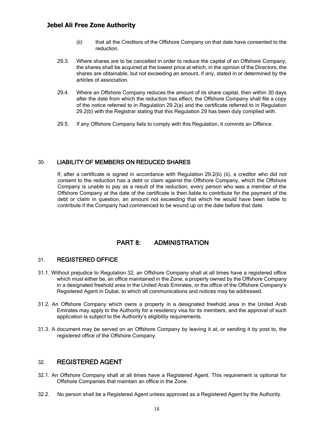- (ii) that all the Creditors of the Offshore Company on that date have consented to the reduction.
- 29.3. Where shares are to be cancelled in order to reduce the capital of an Offshore Company, the shares shall be acquired at the lowest price at which, in the opinion of the Directors, the shares are obtainable, but not exceeding an amount, if any, stated in or determined by the articles of association.
- 29.4. Where an Offshore Company reduces the amount of its share capital, then within 30 days after the date from which the reduction has effect, the Offshore Company shall file a copy of the notice referred to in Regulation 29.2(a) and the certificate referred to in Regulation 29.2(b) with the Registrar stating that this Regulation 29 has been duly complied with.
- 29.5. If any Offshore Company fails to comply with this Regulation, it commits an Offence.

#### 30. LIABILITY OF MEMBERS ON REDUCED SHARES

<span id="page-17-0"></span>If, after a certificate is signed in accordance with Regulation 29.2(b) (ii), a creditor who did not consent to the reduction has a debt or claim against the Offshore Company, which the Offshore Company is unable to pay as a result of the reduction, every person who was a member of the Offshore Company at the date of the certificate is then liable to contribute for the payment of the debt or claim in question, an amount not exceeding that which he would have been liable to contribute if the Company had commenced to be wound up on the date before that date.

## PART 8: ADMINISTRATION

#### 31. REGISTERED OFFICE

- <span id="page-17-2"></span><span id="page-17-1"></span>31.1. Without prejudice to Regulation 32, an Offshore Company shall at all times have a registered office which must either be, an office maintained in the Zone, a property owned by the Offshore Company in a designated freehold area in the United Arab Emirates, or the office of the Offshore Company's Registered Agent in Dubai, to which all communications and notices may be addressed.
- 31.2. An Offshore Company which owns a property in a designated freehold area in the United Arab Emirates may apply to the Authority for a residency visa for its members, and the approval of such application is subject to the Authority's eligibility requirements.
- 31.3. A document may be served on an Offshore Company by leaving it at, or sending it by post to, the registered office of the Offshore Company.

## 32. REGISTERED AGENT

- 32.1. An Offshore Company shall at all times have a Registered Agent. This requirement is optional for Offshore Companies that maintain an office in the Zone.
- <span id="page-17-3"></span>32.2. No person shall be a Registered Agent unless approved as a Registered Agent by the Authority.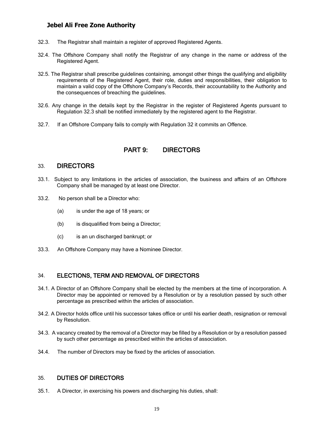- 32.3. The Registrar shall maintain a register of approved Registered Agents.
- 32.4. The Offshore Company shall notify the Registrar of any change in the name or address of the Registered Agent.
- 32.5. The Registrar shall prescribe guidelines containing, amongst other things the qualifying and eligibility requirements of the Registered Agent, their role, duties and responsibilities, their obligation to maintain a valid copy of the Offshore Company's Records, their accountability to the Authority and the consequences of breaching the guidelines.
- 32.6. Any change in the details kept by the Registrar in the register of Registered Agents pursuant to Regulation 32.3 shall be notified immediately by the registered agent to the Registrar.
- 32.7. If an Offshore Company fails to comply with Regulation 32 it commits an Offence.

# PART 9: DIRECTORS

## 33. DIRECTORS

- <span id="page-18-0"></span>33.1. Subject to any limitations in the articles of association, the business and affairs of an Offshore Company shall be managed by at least one Director.
- <span id="page-18-1"></span>33.2. No person shall be a Director who:
	- (a) is under the age of 18 years; or
	- (b) is disqualified from being a Director;
	- (c) is an un discharged bankrupt; or
- 33.3. An Offshore Company may have a Nominee Director.

## 34. ELECTIONS, TERM AND REMOVAL OF DIRECTORS

- 34.1. A Director of an Offshore Company shall be elected by the members at the time of incorporation. A Director may be appointed or removed by a Resolution or by a resolution passed by such other percentage as prescribed within the articles of association.
- <span id="page-18-2"></span>34.2. A Director holds office until his successor takes office or until his earlier death, resignation or removal by Resolution.
- 34.3. A vacancy created by the removal of a Director may be filled by a Resolution or by a resolution passed by such other percentage as prescribed within the articles of association.
- 34.4. The number of Directors may be fixed by the articles of association.

#### 35. DUTIES OF DIRECTORS

<span id="page-18-3"></span>35.1. A Director, in exercising his powers and discharging his duties, shall: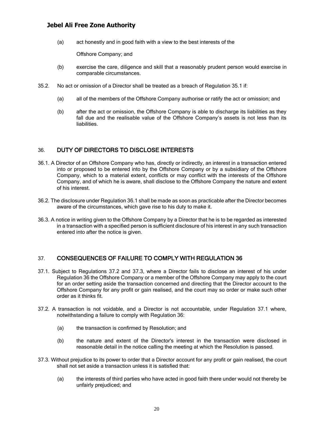(a) act honestly and in good faith with a view to the best interests of the

Offshore Company; and

- (b) exercise the care, diligence and skill that a reasonably prudent person would exercise in comparable circumstances.
- 35.2. No act or omission of a Director shall be treated as a breach of Regulation 35.1 if:
	- (a) all of the members of the Offshore Company authorise or ratify the act or omission; and
	- (b) after the act or omission, the Offshore Company is able to discharge its liabilities as they fall due and the realisable value of the Offshore Company's assets is not less than its liabilities.

## 36. DUTY OF DIRECTORS TO DISCLOSE INTERESTS

- <span id="page-19-0"></span>36.1. A Director of an Offshore Company who has, directly or indirectly, an interest in a transaction entered into or proposed to be entered into by the Offshore Company or by a subsidiary of the Offshore Company, which to a material extent, conflicts or may conflict with the interests of the Offshore Company, and of which he is aware, shall disclose to the Offshore Company the nature and extent of his interest.
- 36.2. The disclosure under Regulation 36.1 shall be made as soon as practicable after the Director becomes aware of the circumstances, which gave rise to his duty to make it.
- 36.3. A notice in writing given to the Offshore Company by a Director that he is to be regarded as interested in a transaction with a specified person is sufficient disclosure of his interest in any such transaction entered into after the notice is given.

## 37. CONSEQUENCES OF FAILURE TO COMPLY WITH REGULATION 36

- <span id="page-19-1"></span>37.1. Subject to Regulations 37.2 and 37.3, where a Director fails to disclose an interest of his under Regulation 36 the Offshore Company or a member of the Offshore Company may apply to the court for an order setting aside the transaction concerned and directing that the Director account to the Offshore Company for any profit or gain realised, and the court may so order or make such other order as it thinks fit.
- 37.2. A transaction is not voidable, and a Director is not accountable, under Regulation 37.1 where, notwithstanding a failure to comply with Regulation 36:
	- (a) the transaction is confirmed by Resolution; and
	- (b) the nature and extent of the Director's interest in the transaction were disclosed in reasonable detail in the notice calling the meeting at which the Resolution is passed.
- 37.3. Without prejudice to its power to order that a Director account for any profit or gain realised, the court shall not set aside a transaction unless it is satisfied that:
	- (a) the interests of third parties who have acted in good faith there under would not thereby be unfairly prejudiced; and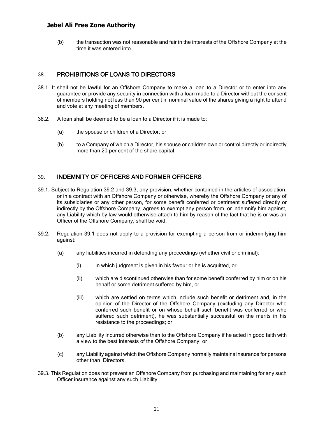(b) the transaction was not reasonable and fair in the interests of the Offshore Company at the time it was entered into.

## 38. PROHIBITIONS OF LOANS TO DIRECTORS

- <span id="page-20-0"></span>38.1. It shall not be lawful for an Offshore Company to make a loan to a Director or to enter into any guarantee or provide any security in connection with a loan made to a Director without the consent of members holding not less than 90 per cent in nominal value of the shares giving a right to attend and vote at any meeting of members.
- 38.2. A loan shall be deemed to be a loan to a Director if it is made to:
	- (a) the spouse or children of a Director; or
	- (b) to a Company of which a Director, his spouse or children own or control directly or indirectly more than 20 per cent of the share capital.

## 39. INDEMNITY OF OFFICERS AND FORMER OFFICERS

- <span id="page-20-1"></span>39.1. Subject to Regulation 39.2 and 39.3, any provision, whether contained in the articles of association, or in a contract with an Offshore Company or otherwise, whereby the Offshore Company or any of its subsidiaries or any other person, for some benefit conferred or detriment suffered directly or indirectly by the Offshore Company, agrees to exempt any person from, or indemnify him against, any Liability which by law would otherwise attach to him by reason of the fact that he is or was an Officer of the Offshore Company, shall be void.
- 39.2. Regulation 39.1 does not apply to a provision for exempting a person from or indemnifying him against:
	- (a) any liabilities incurred in defending any proceedings (whether civil or criminal):
		- (i) in which judgment is given in his favour or he is acquitted, or
		- (ii) which are discontinued otherwise than for some benefit conferred by him or on his behalf or some detriment suffered by him, or
		- (iii) which are settled on terms which include such benefit or detriment and, in the opinion of the Director of the Offshore Company (excluding any Director who conferred such benefit or on whose behalf such benefit was conferred or who suffered such detriment), he was substantially successful on the merits in his resistance to the proceedings; or
	- (b) any Liability incurred otherwise than to the Offshore Company if he acted in good faith with a view to the best interests of the Offshore Company; or
	- (c) any Liability against which the Offshore Company normally maintains insurance for persons other than Directors.
- 39.3. This Regulation does not prevent an Offshore Company from purchasing and maintaining for any such Officer insurance against any such Liability.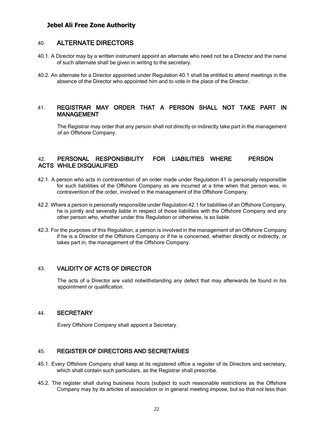## 40. ALTERNATE DIRECTORS

- 40.1. A Director may by a written instrument appoint an alternate who need not be a Director and the name of such alternate shall be given in writing to the secretary.
- <span id="page-21-0"></span>40.2. An alternate for a Director appointed under Regulation 40.1 shall be entitled to attend meetings in the absence of the Director who appointed him and to vote in the place of the Director.

#### 41. REGISTRAR MAY ORDER THAT A PERSON SHALL NOT TAKE PART IN MANAGEMENT

<span id="page-21-1"></span>The Registrar may order that any person shall not directly or indirectly take part in the management of an Offshore Company.

## 42. PERSONAL RESPONSIBILITY FOR LIABILITIES WHERE PERSON ACTS WHILE DISQUALIFIED

- <span id="page-21-2"></span>42.1. A person who acts in contravention of an order made under Regulation 41 is personally responsible for such liabilities of the Offshore Company as are incurred at a time when that person was, in contravention of the order, involved in the management of the Offshore Company.
- 42.2. Where a person is personally responsible under Regulation 42.1 for liabilities of an Offshore Company, he is jointly and severally liable in respect of those liabilities with the Offshore Company and any other person who, whether under this Regulation or otherwise, is so liable.
- 42.3. For the purposes of this Regulation, a person is involved in the management of an Offshore Company if he is a Director of the Offshore Company or if he is concerned, whether directly or indirectly, or takes part in, the management of the Offshore Company.

## 43. VALIDITY OF ACTS OF DIRECTOR

The acts of a Director are valid notwithstanding any defect that may afterwards be found in his appointment or qualification.

#### <span id="page-21-3"></span>44. SECRETARY

Every Offshore Company shall appoint a Secretary.

## <span id="page-21-4"></span>45. REGISTER OF DIRECTORS AND SECRETARIES

- 45.1. Every Offshore Company shall keep at its registered office a register of its Directors and secretary, which shall contain such particulars, as the Registrar shall prescribe.
- <span id="page-21-5"></span>45.2. The register shall during business hours (subject to such reasonable restrictions as the Offshore Company may by its articles of association or in general meeting impose, but so that not less than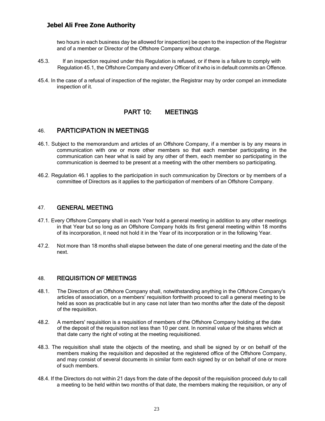two hours in each business day be allowed for inspection) be open to the inspection of the Registrar and of a member or Director of the Offshore Company without charge.

- 45.3. If an inspection required under this Regulation is refused, or if there is a failure to comply with Regulation 45.1, the Offshore Company and every Officer of it who is in default commits an Offence.
- 45.4. In the case of a refusal of inspection of the register, the Registrar may by order compel an immediate inspection of it.

## PART 10: MEETINGS

## 46. PARTICIPATION IN MEETINGS

- <span id="page-22-1"></span><span id="page-22-0"></span>46.1. Subject to the memorandum and articles of an Offshore Company, if a member is by any means in communication with one or more other members so that each member participating in the communication can hear what is said by any other of them, each member so participating in the communication is deemed to be present at a meeting with the other members so participating.
- 46.2. Regulation 46.1 applies to the participation in such communication by Directors or by members of a committee of Directors as it applies to the participation of members of an Offshore Company.

#### 47. GENERAL MEETING

- 47.1. Every Offshore Company shall in each Year hold a general meeting in addition to any other meetings in that Year but so long as an Offshore Company holds its first general meeting within 18 months of its incorporation, it need not hold it in the Year of its incorporation or in the following Year.
- <span id="page-22-2"></span>47.2. Not more than 18 months shall elapse between the date of one general meeting and the date of the next.

#### 48. REQUISITION OF MEETINGS

- <span id="page-22-3"></span>48.1. The Directors of an Offshore Company shall, notwithstanding anything in the Offshore Company's articles of association, on a members' requisition forthwith proceed to call a general meeting to be held as soon as practicable but in any case not later than two months after the date of the deposit of the requisition.
- 48.2. A members' requisition is a requisition of members of the Offshore Company holding at the date of the deposit of the requisition not less than 10 per cent. In nominal value of the shares which at that date carry the right of voting at the meeting requisitioned.
- 48.3. The requisition shall state the objects of the meeting, and shall be signed by or on behalf of the members making the requisition and deposited at the registered office of the Offshore Company, and may consist of several documents in similar form each signed by or on behalf of one or more of such members.
- 48.4. If the Directors do not within 21 days from the date of the deposit of the requisition proceed duly to call a meeting to be held within two months of that date, the members making the requisition, or any of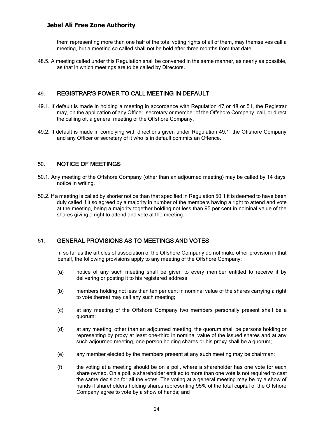them representing more than one half of the total voting rights of all of them, may themselves call a meeting, but a meeting so called shall not be held after three months from that date.

48.5. A meeting called under this Regulation shall be convened in the same manner, as nearly as possible, as that in which meetings are to be called by Directors.

## 49. REGISTRAR'S POWER TO CALL MEETING IN DEFAULT

- 49.1. If default is made in holding a meeting in accordance with Regulation 47 or 48 or 51, the Registrar may, on the application of any Officer, secretary or member of the Offshore Company, call, or direct the calling of, a general meeting of the Offshore Company.
- <span id="page-23-0"></span>49.2. If default is made in complying with directions given under Regulation 49.1, the Offshore Company and any Officer or secretary of it who is in default commits an Offence.

## 50. NOTICE OF MEETINGS

- 50.1. Any meeting of the Offshore Company (other than an adjourned meeting) may be called by 14 days' notice in writing.
- <span id="page-23-1"></span>50.2. If a meeting is called by shorter notice than that specified in Regulation 50.1 it is deemed to have been duly called if it so agreed by a majority in number of the members having a right to attend and vote at the meeting, being a majority together holding not less than 95 per cent in nominal value of the shares giving a right to attend and vote at the meeting.

## 51. GENERAL PROVISIONS AS TO MEETINGS AND VOTES

In so far as the articles of association of the Offshore Company do not make other provision in that behalf, the following provisions apply to any meeting of the Offshore Company:

- <span id="page-23-2"></span>(a) notice of any such meeting shall be given to every member entitled to receive it by delivering or posting it to his registered address;
- (b) members holding not less than ten per cent in nominal value of the shares carrying a right to vote thereat may call any such meeting;
- (c) at any meeting of the Offshore Company two members personally present shall be a quorum;
- (d) at any meeting, other than an adjourned meeting, the quorum shall be persons holding or representing by proxy at least one-third in nominal value of the issued shares and at any such adjourned meeting, one person holding shares or his proxy shall be a quorum;
- (e) any member elected by the members present at any such meeting may be chairman;
- (f) the voting at a meeting should be on a poll, where a shareholder has one vote for each share owned. On a poll, a shareholder entitled to more than one vote is not required to cast the same decision for all the votes. The voting at a general meeting may be by a show of hands if shareholders holding shares representing 95% of the total capital of the Offshore Company agree to vote by a show of hands; and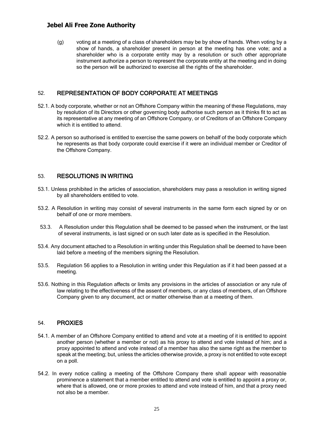(g) voting at a meeting of a class of shareholders may be by show of hands. When voting by a show of hands, a shareholder present in person at the meeting has one vote; and a shareholder who is a corporate entity may by a resolution or such other appropriate instrument authorize a person to represent the corporate entity at the meeting and in doing so the person will be authorized to exercise all the rights of the shareholder.

## 52. REPRESENTATION OF BODY CORPORATE AT MEETINGS

- <span id="page-24-0"></span>52.1. A body corporate, whether or not an Offshore Company within the meaning of these Regulations, may by resolution of its Directors or other governing body authorise such person as it thinks fit to act as its representative at any meeting of an Offshore Company, or of Creditors of an Offshore Company which it is entitled to attend.
- 52.2. A person so authorised is entitled to exercise the same powers on behalf of the body corporate which he represents as that body corporate could exercise if it were an individual member or Creditor of the Offshore Company.

#### 53. RESOLUTIONS IN WRITING

- 53.1. Unless prohibited in the articles of association, shareholders may pass a resolution in writing signed by all shareholders entitled to vote.
- <span id="page-24-1"></span>53.2. A Resolution in writing may consist of several instruments in the same form each signed by or on behalf of one or more members.
- 53.3. A Resolution under this Regulation shall be deemed to be passed when the instrument, or the last of several instruments, is last signed or on such later date as is specified in the Resolution.
- 53.4. Any document attached to a Resolution in writing under this Regulation shall be deemed to have been laid before a meeting of the members signing the Resolution.
- 53.5. Regulation 56 applies to a Resolution in writing under this Regulation as if it had been passed at a meeting.
- 53.6. Nothing in this Regulation affects or limits any provisions in the articles of association or any rule of law relating to the effectiveness of the assent of members, or any class of members, of an Offshore Company given to any document, act or matter otherwise than at a meeting of them.

#### 54. PROXIES

- <span id="page-24-2"></span>54.1. A member of an Offshore Company entitled to attend and vote at a meeting of it is entitled to appoint another person (whether a member or not) as his proxy to attend and vote instead of him; and a proxy appointed to attend and vote instead of a member has also the same right as the member to speak at the meeting; but, unless the articles otherwise provide, a proxy is not entitled to vote except on a poll.
- 54.2. In every notice calling a meeting of the Offshore Company there shall appear with reasonable prominence a statement that a member entitled to attend and vote is entitled to appoint a proxy or, where that is allowed, one or more proxies to attend and vote instead of him, and that a proxy need not also be a member.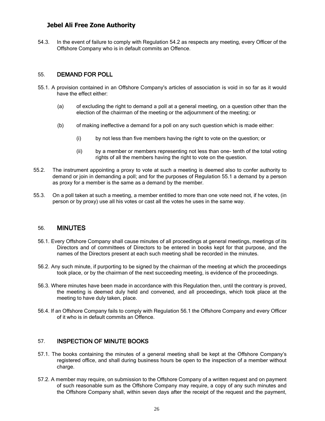54.3. In the event of failure to comply with Regulation 54.2 as respects any meeting, every Officer of the Offshore Company who is in default commits an Offence.

#### 55. DEMAND FOR POLL

- <span id="page-25-0"></span>55.1. A provision contained in an Offshore Company's articles of association is void in so far as it would have the effect either:
	- (a) of excluding the right to demand a poll at a general meeting, on a question other than the election of the chairman of the meeting or the adjournment of the meeting; or
	- (b) of making ineffective a demand for a poll on any such question which is made either:
		- (i) by not less than five members having the right to vote on the question; or
		- (ii) by a member or members representing not less than one- tenth of the total voting rights of all the members having the right to vote on the question.
- 55.2. The instrument appointing a proxy to vote at such a meeting is deemed also to confer authority to demand or join in demanding a poll; and for the purposes of Regulation 55.1 a demand by a person as proxy for a member is the same as a demand by the member.
- 55.3. On a poll taken at such a meeting, a member entitled to more than one vote need not, if he votes, (in person or by proxy) use all his votes or cast all the votes he uses in the same way.

#### 56. MINUTES

- 56.1. Every Offshore Company shall cause minutes of all proceedings at general meetings, meetings of its Directors and of committees of Directors to be entered in books kept for that purpose, and the names of the Directors present at each such meeting shall be recorded in the minutes.
- <span id="page-25-1"></span>56.2. Any such minute, if purporting to be signed by the chairman of the meeting at which the proceedings took place, or by the chairman of the next succeeding meeting, is evidence of the proceedings.
- 56.3. Where minutes have been made in accordance with this Regulation then, until the contrary is proved, the meeting is deemed duly held and convened, and all proceedings, which took place at the meeting to have duly taken, place.
- 56.4. If an Offshore Company fails to comply with Regulation 56.1 the Offshore Company and every Officer of it who is in default commits an Offence.

#### 57. INSPECTION OF MINUTE BOOKS

- 57.1. The books containing the minutes of a general meeting shall be kept at the Offshore Company's registered office, and shall during business hours be open to the inspection of a member without charge.
- <span id="page-25-2"></span>57.2. A member may require, on submission to the Offshore Company of a written request and on payment of such reasonable sum as the Offshore Company may require, a copy of any such minutes and the Offshore Company shall, within seven days after the receipt of the request and the payment,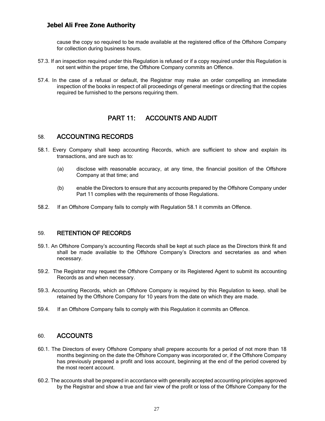cause the copy so required to be made available at the registered office of the Offshore Company for collection during business hours.

- 57.3. If an inspection required under this Regulation is refused or if a copy required under this Regulation is not sent within the proper time, the Offshore Company commits an Offence.
- 57.4. In the case of a refusal or default, the Registrar may make an order compelling an immediate inspection of the books in respect of all proceedings of general meetings or directing that the copies required be furnished to the persons requiring them.

## PART 11: ACCOUNTS AND AUDIT

## 58. ACCOUNTING RECORDS

- <span id="page-26-1"></span><span id="page-26-0"></span>58.1. Every Company shall keep accounting Records, which are sufficient to show and explain its transactions, and are such as to:
	- (a) disclose with reasonable accuracy, at any time, the financial position of the Offshore Company at that time; and
	- (b) enable the Directors to ensure that any accounts prepared by the Offshore Company under Part 11 complies with the requirements of those Regulations.
- 58.2. If an Offshore Company fails to comply with Regulation 58.1 it commits an Offence.

#### 59. RETENTION OF RECORDS

- 59.1. An Offshore Company's accounting Records shall be kept at such place as the Directors think fit and shall be made available to the Offshore Company's Directors and secretaries as and when necessary.
- <span id="page-26-2"></span>59.2. The Registrar may request the Offshore Company or its Registered Agent to submit its accounting Records as and when necessary.
- 59.3. Accounting Records, which an Offshore Company is required by this Regulation to keep, shall be retained by the Offshore Company for 10 years from the date on which they are made.
- 59.4. If an Offshore Company fails to comply with this Regulation it commits an Offence.

## 60. ACCOUNTS

- <span id="page-26-3"></span>60.1. The Directors of every Offshore Company shall prepare accounts for a period of not more than 18 months beginning on the date the Offshore Company was incorporated or, if the Offshore Company has previously prepared a profit and loss account, beginning at the end of the period covered by the most recent account.
- 60.2. The accounts shall be prepared in accordance with generally accepted accounting principles approved by the Registrar and show a true and fair view of the profit or loss of the Offshore Company for the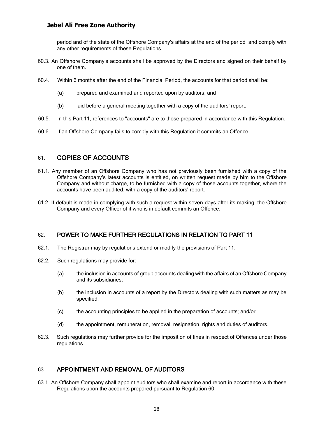period and of the state of the Offshore Company's affairs at the end of the period and comply with any other requirements of these Regulations.

- 60.3. An Offshore Company's accounts shall be approved by the Directors and signed on their behalf by one of them.
- 60.4. Within 6 months after the end of the Financial Period, the accounts for that period shall be:
	- (a) prepared and examined and reported upon by auditors; and
	- (b) laid before a general meeting together with a copy of the auditors' report.
- 60.5. In this Part 11, references to "accounts" are to those prepared in accordance with this Regulation.
- 60.6. If an Offshore Company fails to comply with this Regulation it commits an Offence.

## 61. COPIES OF ACCOUNTS

- <span id="page-27-0"></span>61.1. Any member of an Offshore Company who has not previously been furnished with a copy of the Offshore Company's latest accounts is entitled, on written request made by him to the Offshore Company and without charge, to be furnished with a copy of those accounts together, where the accounts have been audited, with a copy of the auditors' report.
- 61.2. If default is made in complying with such a request within seven days after its making, the Offshore Company and every Officer of it who is in default commits an Offence.

## 62. POWER TO MAKE FURTHER REGULATIONS IN RELATION TO PART 11

- 62.1. The Registrar may by regulations extend or modify the provisions of Part 11.
- <span id="page-27-1"></span>62.2. Such regulations may provide for:
	- (a) the inclusion in accounts of group accounts dealing with the affairs of an Offshore Company and its subsidiaries;
	- (b) the inclusion in accounts of a report by the Directors dealing with such matters as may be specified;
	- (c) the accounting principles to be applied in the preparation of accounts; and/or
	- (d) the appointment, remuneration, removal, resignation, rights and duties of auditors.
- 62.3. Such regulations may further provide for the imposition of fines in respect of Offences under those regulations.

## 63. APPOINTMENT AND REMOVAL OF AUDITORS

<span id="page-27-2"></span>63.1. An Offshore Company shall appoint auditors who shall examine and report in accordance with these Regulations upon the accounts prepared pursuant to Regulation 60.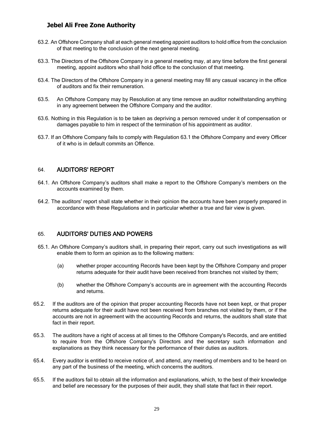- 63.2. An Offshore Company shall at each general meeting appoint auditors to hold office from the conclusion of that meeting to the conclusion of the next general meeting.
- 63.3. The Directors of the Offshore Company in a general meeting may, at any time before the first general meeting, appoint auditors who shall hold office to the conclusion of that meeting.
- 63.4. The Directors of the Offshore Company in a general meeting may fill any casual vacancy in the office of auditors and fix their remuneration.
- 63.5. An Offshore Company may by Resolution at any time remove an auditor notwithstanding anything in any agreement between the Offshore Company and the auditor.
- 63.6. Nothing in this Regulation is to be taken as depriving a person removed under it of compensation or damages payable to him in respect of the termination of his appointment as auditor.
- 63.7. If an Offshore Company fails to comply with Regulation 63.1 the Offshore Company and every Officer of it who is in default commits an Offence.

#### 64. AUDITORS' REPORT

- 64.1. An Offshore Company's auditors shall make a report to the Offshore Company's members on the accounts examined by them.
- <span id="page-28-0"></span>64.2. The auditors' report shall state whether in their opinion the accounts have been properly prepared in accordance with these Regulations and in particular whether a true and fair view is given.

#### 65. AUDITORS' DUTIES AND POWERS

- <span id="page-28-1"></span>65.1. An Offshore Company's auditors shall, in preparing their report, carry out such investigations as will enable them to form an opinion as to the following matters:
	- (a) whether proper accounting Records have been kept by the Offshore Company and proper returns adequate for their audit have been received from branches not visited by them;
	- (b) whether the Offshore Company's accounts are in agreement with the accounting Records and returns.
- 65.2. If the auditors are of the opinion that proper accounting Records have not been kept, or that proper returns adequate for their audit have not been received from branches not visited by them, or if the accounts are not in agreement with the accounting Records and returns, the auditors shall state that fact in their report.
- 65.3. The auditors have a right of access at all times to the Offshore Company's Records, and are entitled to require from the Offshore Company's Directors and the secretary such information and explanations as they think necessary for the performance of their duties as auditors.
- 65.4. Every auditor is entitled to receive notice of, and attend, any meeting of members and to be heard on any part of the business of the meeting, which concerns the auditors.
- 65.5. If the auditors fail to obtain all the information and explanations, which, to the best of their knowledge and belief are necessary for the purposes of their audit, they shall state that fact in their report.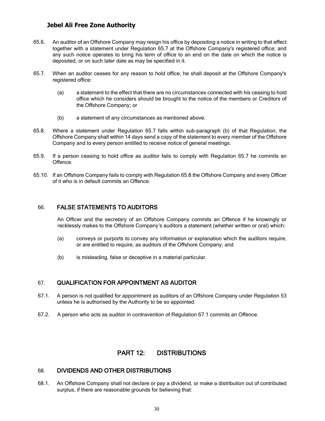- 65.6. An auditor of an Offshore Company may resign his office by depositing a notice in writing to that effect together with a statement under Regulation 65.7 at the Offshore Company's registered office; and any such notice operates to bring his term of office to an end on the date on which the notice is deposited, or on such later date as may be specified in it.
- 65.7. When an auditor ceases for any reason to hold office, he shall deposit at the Offshore Company's registered office:
	- (a) a statement to the effect that there are no circumstances connected with his ceasing to hold office which he considers should be brought to the notice of the members or Creditors of the Offshore Company; or
	- (b) a statement of any circumstances as mentioned above.
- 65.8. Where a statement under Regulation 65.7 falls within sub-paragraph (b) of that Regulation, the Offshore Company shall within 14 days send a copy of the statement to every member of the Offshore Company and to every person entitled to receive notice of general meetings.
- 65.9. If a person ceasing to hold office as auditor fails to comply with Regulation 65.7 he commits an **Offence**
- 65.10. If an Offshore Company fails to comply with Regulation 65.8 the Offshore Company and every Officer of it who is in default commits an Offence.

#### 66. FALSE STATEMENTS TO AUDITORS

An Officer and the secretary of an Offshore Company commits an Offence if he knowingly or recklessly makes to the Offshore Company's auditors a statement (whether written or oral) which:

- <span id="page-29-0"></span>(a) conveys or purports to convey any information or explanation which the auditors require, or are entitled to require, as auditors of the Offshore Company; and
- (b) is misleading, false or deceptive in a material particular.

## 67. QUALIFICATION FOR APPOINTMENT AS AUDITOR

- 67.1. A person is not qualified for appointment as auditors of an Offshore Company under Regulation 53 unless he is authorised by the Authority to be so appointed.
- <span id="page-29-1"></span>67.2. A person who acts as auditor in contravention of Regulation 67.1 commits an Offence.

## PART 12: DISTRIBUTIONS

#### 68. DIVIDENDS AND OTHER DISTRIBUTIONS

<span id="page-29-3"></span><span id="page-29-2"></span>68.1. An Offshore Company shall not declare or pay a dividend, or make a distribution out of contributed surplus, if there are reasonable grounds for believing that: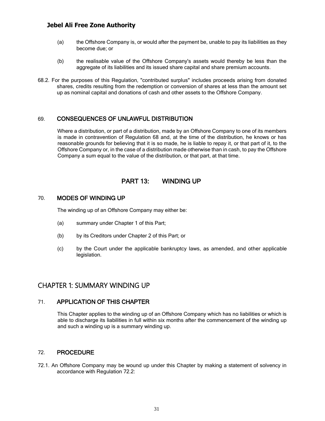- (a) the Offshore Company is, or would after the payment be, unable to pay its liabilities as they become due; or
- (b) the realisable value of the Offshore Company's assets would thereby be less than the aggregate of its liabilities and its issued share capital and share premium accounts.
- 68.2. For the purposes of this Regulation, "contributed surplus" includes proceeds arising from donated shares, credits resulting from the redemption or conversion of shares at less than the amount set up as nominal capital and donations of cash and other assets to the Offshore Company.

#### 69. CONSEQUENCES OF UNLAWFUL DISTRIBUTION

<span id="page-30-0"></span>Where a distribution, or part of a distribution, made by an Offshore Company to one of its members is made in contravention of Regulation 68 and, at the time of the distribution, he knows or has reasonable grounds for believing that it is so made, he is liable to repay it, or that part of it, to the Offshore Company or, in the case of a distribution made otherwise than in cash, to pay the Offshore Company a sum equal to the value of the distribution, or that part, at that time.

## PART 13: WINDING UP

#### <span id="page-30-1"></span>70. MODES OF WINDING UP

The winding up of an Offshore Company may either be:

- <span id="page-30-2"></span>(a) summary under Chapter 1 of this Part;
- (b) by its Creditors under Chapter 2 of this Part; or
- (c) by the Court under the applicable bankruptcy laws, as amended, and other applicable legislation.

## CHAPTER 1: SUMMARY WINDING UP

#### 71. APPLICATION OF THIS CHAPTER

This Chapter applies to the winding up of an Offshore Company which has no liabilities or which is able to discharge its liabilities in full within six months after the commencement of the winding up and such a winding up is a summary winding up.

#### <span id="page-30-3"></span>72. PROCEDURE

<span id="page-30-4"></span>72.1. An Offshore Company may be wound up under this Chapter by making a statement of solvency in accordance with Regulation 72.2: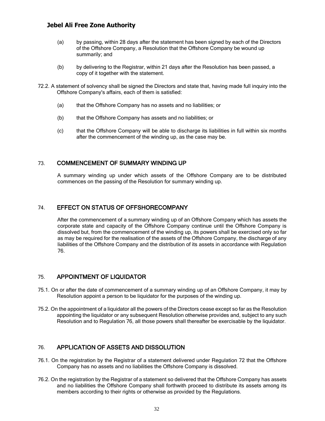- (a) by passing, within 28 days after the statement has been signed by each of the Directors of the Offshore Company, a Resolution that the Offshore Company be wound up summarily; and
- (b) by delivering to the Registrar, within 21 days after the Resolution has been passed, a copy of it together with the statement.
- 72.2. A statement of solvency shall be signed the Directors and state that, having made full inquiry into the Offshore Company's affairs, each of them is satisfied:
	- (a) that the Offshore Company has no assets and no liabilities; or
	- (b) that the Offshore Company has assets and no liabilities; or
	- (c) that the Offshore Company will be able to discharge its liabilities in full within six months after the commencement of the winding up, as the case may be.

#### 73. COMMENCEMENT OF SUMMARY WINDING UP

A summary winding up under which assets of the Offshore Company are to be distributed commences on the passing of the Resolution for summary winding up.

#### <span id="page-31-0"></span>74. EFFECT ON STATUS OF OFFSHORECOMPANY

<span id="page-31-1"></span>After the commencement of a summary winding up of an Offshore Company which has assets the corporate state and capacity of the Offshore Company continue until the Offshore Company is dissolved but, from the commencement of the winding up, its powers shall be exercised only so far as may be required for the realisation of the assets of the Offshore Company, the discharge of any liabilities of the Offshore Company and the distribution of its assets in accordance with Regulation 76.

## 75. APPOINTMENT OF LIQUIDATOR

- 75.1. On or after the date of commencement of a summary winding up of an Offshore Company, it may by Resolution appoint a person to be liquidator for the purposes of the winding up.
- <span id="page-31-2"></span>75.2. On the appointment of a liquidator all the powers of the Directors cease except so far as the Resolution appointing the liquidator or any subsequent Resolution otherwise provides and, subject to any such Resolution and to Regulation 76, all those powers shall thereafter be exercisable by the liquidator.

## 76. APPLICATION OF ASSETS AND DISSOLUTION

- 76.1. On the registration by the Registrar of a statement delivered under Regulation 72 that the Offshore Company has no assets and no liabilities the Offshore Company is dissolved.
- <span id="page-31-3"></span>76.2. On the registration by the Registrar of a statement so delivered that the Offshore Company has assets and no liabilities the Offshore Company shall forthwith proceed to distribute its assets among its members according to their rights or otherwise as provided by the Regulations.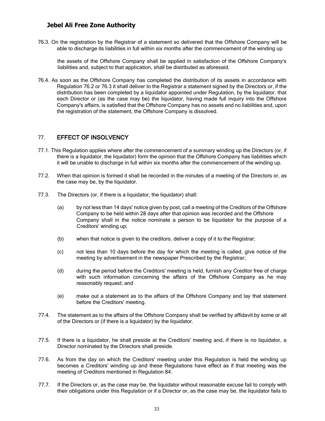76.3. On the registration by the Registrar of a statement so delivered that the Offshore Company will be able to discharge its liabilities in full within six months after the commencement of the winding up

the assets of the Offshore Company shall be applied in satisfaction of the Offshore Company's liabilities and, subject to that application, shall be distributed as aforesaid.

76.4. As soon as the Offshore Company has completed the distribution of its assets in accordance with Regulation 76.2 or 76.3 it shall deliver to the Registrar a statement signed by the Directors or, if the distribution has been completed by a liquidator appointed under Regulation, by the liquidator, that each Director or (as the case may be) the liquidator, having made full inquiry into the Offshore Company's affairs, is satisfied that the Offshore Company has no assets and no liabilities and, upon the registration of the statement, the Offshore Company is dissolved.

## 77. EFFECT OF INSOLVENCY

- 77.1. This Regulation applies where after the commencement of a summary winding up the Directors (or, if there is a liquidator, the liquidator) form the opinion that the Offshore Company has liabilities which it will be unable to discharge in full within six months after the commencement of the winding up.
- <span id="page-32-0"></span>77.2. When that opinion is formed it shall be recorded in the minutes of a meeting of the Directors or, as the case may be, by the liquidator.
- 77.3. The Directors (or, if there is a liquidator, the liquidator) shall:
	- (a) by not less than 14 days' notice given by post, call a meeting of the Creditors of the Offshore Company to be held within 28 days after that opinion was recorded and the Offshore Company shall in the notice nominate a person to be liquidator for the purpose of a Creditors' winding up;
	- (b) when that notice is given to the creditors, deliver a copy of it to the Registrar;
	- (c) not less than 10 days before the day for which the meeting is called, give notice of the meeting by advertisement in the newspaper Prescribed by the Registrar;
	- (d) during the period before the Creditors' meeting is held, furnish any Creditor free of charge with such information concerning the affairs of the Offshore Company as he may reasonably request; and
	- (e) make out a statement as to the affairs of the Offshore Company and lay that statement before the Creditors' meeting.
- 77.4. The statement as to the affairs of the Offshore Company shall be verified by affidavit by some or all of the Directors or (if there is a liquidator) by the liquidator.
- 77.5. If there is a liquidator, he shall preside at the Creditors' meeting and, if there is no liquidator, a Director nominated by the Directors shall preside.
- 77.6. As from the day on which the Creditors' meeting under this Regulation is held the winding up becomes a Creditors' winding up and these Regulations have effect as if that meeting was the meeting of Creditors mentioned in Regulation 84.
- 77.7. If the Directors or, as the case may be, the liquidator without reasonable excuse fail to comply with their obligations under this Regulation or if a Director or, as the case may be, the liquidator fails to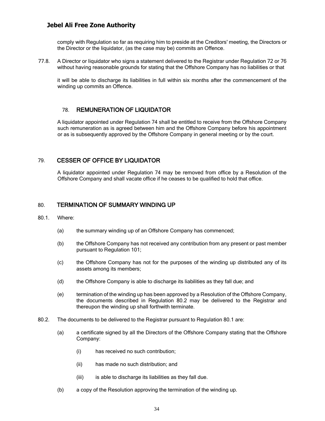comply with Regulation so far as requiring him to preside at the Creditors' meeting, the Directors or the Director or the liquidator, (as the case may be) commits an Offence.

77.8. A Director or liquidator who signs a statement delivered to the Registrar under Regulation 72 or 76 without having reasonable grounds for stating that the Offshore Company has no liabilities or that

it will be able to discharge its liabilities in full within six months after the commencement of the winding up commits an Offence.

## 78. REMUNERATION OF LIQUIDATOR

A liquidator appointed under Regulation 74 shall be entitled to receive from the Offshore Company such remuneration as is agreed between him and the Offshore Company before his appointment or as is subsequently approved by the Offshore Company in general meeting or by the court.

#### <span id="page-33-0"></span>79. CESSER OF OFFICE BY LIQUIDATOR

A liquidator appointed under Regulation 74 may be removed from office by a Resolution of the Offshore Company and shall vacate office if he ceases to be qualified to hold that office.

#### <span id="page-33-1"></span>80. TERMINATION OF SUMMARY WINDING UP

#### <span id="page-33-2"></span>80.1. Where:

- (a) the summary winding up of an Offshore Company has commenced;
- (b) the Offshore Company has not received any contribution from any present or past member pursuant to Regulation 101;
- (c) the Offshore Company has not for the purposes of the winding up distributed any of its assets among its members;
- (d) the Offshore Company is able to discharge its liabilities as they fall due; and
- (e) termination of the winding up has been approved by a Resolution of the Offshore Company, the documents described in Regulation 80.2 may be delivered to the Registrar and thereupon the winding up shall forthwith terminate.
- 80.2. The documents to be delivered to the Registrar pursuant to Regulation 80.1 are:
	- (a) a certificate signed by all the Directors of the Offshore Company stating that the Offshore Company:
		- (i) has received no such contribution;
		- (ii) has made no such distribution; and
		- (iii) is able to discharge its liabilities as they fall due.
	- (b) a copy of the Resolution approving the termination of the winding up.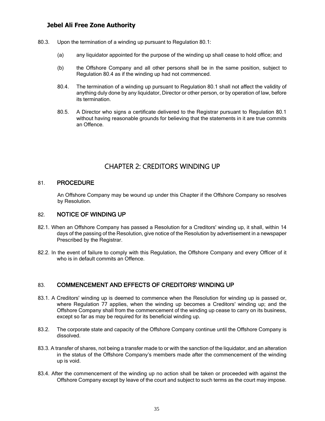- 80.3. Upon the termination of a winding up pursuant to Regulation 80.1:
	- (a) any liquidator appointed for the purpose of the winding up shall cease to hold office; and
	- (b) the Offshore Company and all other persons shall be in the same position, subject to Regulation 80.4 as if the winding up had not commenced.
	- 80.4. The termination of a winding up pursuant to Regulation 80.1 shall not affect the validity of anything duly done by any liquidator, Director or other person, or by operation of law, before its termination.
	- 80.5. A Director who signs a certificate delivered to the Registrar pursuant to Regulation 80.1 without having reasonable grounds for believing that the statements in it are true commits an Offence.

# CHAPTER 2: CREDITORS WINDING UP

#### 81. PROCEDURE

An Offshore Company may be wound up under this Chapter if the Offshore Company so resolves by Resolution.

#### <span id="page-34-0"></span>82. NOTICE OF WINDING UP

- 82.1. When an Offshore Company has passed a Resolution for a Creditors' winding up, it shall, within 14 days of the passing of the Resolution, give notice of the Resolution by advertisement in a newspaper Prescribed by the Registrar.
- <span id="page-34-1"></span>82.2. In the event of failure to comply with this Regulation, the Offshore Company and every Officer of it who is in default commits an Offence.

## 83. COMMENCEMENT AND EFFECTS OF CREDITORS' WINDING UP

- <span id="page-34-2"></span>83.1. A Creditors' winding up is deemed to commence when the Resolution for winding up is passed or, where Regulation 77 applies, when the winding up becomes a Creditors' winding up; and the Offshore Company shall from the commencement of the winding up cease to carry on its business, except so far as may be required for its beneficial winding up.
- 83.2. The corporate state and capacity of the Offshore Company continue until the Offshore Company is dissolved.
- 83.3. A transfer of shares, not being a transfer made to or with the sanction of the liquidator, and an alteration in the status of the Offshore Company's members made after the commencement of the winding up is void.
- 83.4. After the commencement of the winding up no action shall be taken or proceeded with against the Offshore Company except by leave of the court and subject to such terms as the court may impose.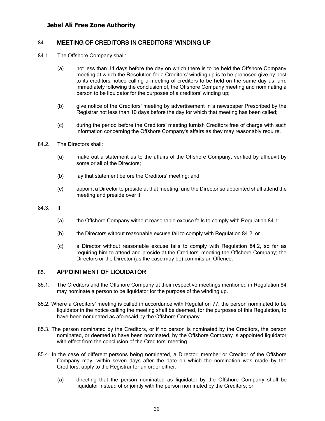## 84. MEETING OF CREDITORS IN CREDITORS' WINDING UP

- <span id="page-35-0"></span>84.1. The Offshore Company shall:
	- (a) not less than 14 days before the day on which there is to be held the Offshore Company meeting at which the Resolution for a Creditors' winding up is to be proposed give by post to its creditors notice calling a meeting of creditors to be held on the same day as, and immediately following the conclusion of, the Offshore Company meeting and nominating a person to be liquidator for the purposes of a creditors' winding up;
	- (b) give notice of the Creditors' meeting by advertisement in a newspaper Prescribed by the Registrar not less than 10 days before the day for which that meeting has been called;
	- (c) during the period before the Creditors' meeting furnish Creditors free of charge with such information concerning the Offshore Company's affairs as they may reasonably require.
- 84.2. The Directors shall:
	- (a) make out a statement as to the affairs of the Offshore Company, verified by affidavit by some or all of the Directors;
	- (b) lay that statement before the Creditors' meeting; and
	- (c) appoint a Director to preside at that meeting, and the Director so appointed shall attend the meeting and preside over it.
- 84.3. If:
	- (a) the Offshore Company without reasonable excuse fails to comply with Regulation 84.1;
	- (b) the Directors without reasonable excuse fail to comply with Regulation 84.2; or
	- (c) a Director without reasonable excuse fails to comply with Regulation 84.2, so far as requiring him to attend and preside at the Creditors' meeting the Offshore Company; the Directors or the Director (as the case may be) commits an Offence.

## 85. APPOINTMENT OF LIQUIDATOR

- 85.1. The Creditors and the Offshore Company at their respective meetings mentioned in Regulation 84 may nominate a person to be liquidator for the purpose of the winding up.
- <span id="page-35-1"></span>85.2. Where a Creditors' meeting is called in accordance with Regulation 77, the person nominated to be liquidator in the notice calling the meeting shall be deemed, for the purposes of this Regulation, to have been nominated as aforesaid by the Offshore Company.
- 85.3. The person nominated by the Creditors, or if no person is nominated by the Creditors, the person nominated, or deemed to have been nominated, by the Offshore Company is appointed liquidator with effect from the conclusion of the Creditors' meeting.
- 85.4. In the case of different persons being nominated, a Director, member or Creditor of the Offshore Company may, within seven days after the date on which the nomination was made by the Creditors, apply to the Registrar for an order either:
	- (a) directing that the person nominated as liquidator by the Offshore Company shall be liquidator instead of or jointly with the person nominated by the Creditors; or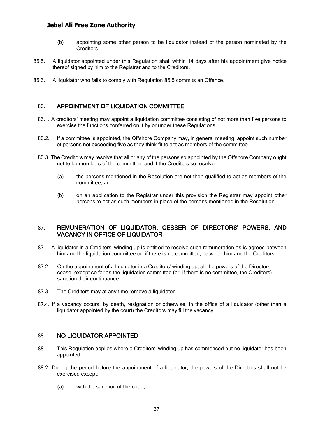- (b) appointing some other person to be liquidator instead of the person nominated by the Creditors.
- 85.5. A liquidator appointed under this Regulation shall within 14 days after his appointment give notice thereof signed by him to the Registrar and to the Creditors.
- 85.6. A liquidator who fails to comply with Regulation 85.5 commits an Offence.

## 86. APPOINTMENT OF LIQUIDATION COMMITTEE

- 86.1. A creditors' meeting may appoint a liquidation committee consisting of not more than five persons to exercise the functions conferred on it by or under these Regulations.
- <span id="page-36-0"></span>86.2. If a committee is appointed, the Offshore Company may, in general meeting, appoint such number of persons not exceeding five as they think fit to act as members of the committee.
- 86.3. The Creditors may resolve that all or any of the persons so appointed by the Offshore Company ought not to be members of the committee; and if the Creditors so resolve:
	- (a) the persons mentioned in the Resolution are not then qualified to act as members of the committee; and
	- (b) on an application to the Registrar under this provision the Registrar may appoint other persons to act as such members in place of the persons mentioned in the Resolution.

#### 87. REMUNERATION OF LIQUIDATOR, CESSER OF DIRECTORS' POWERS, AND VACANCY IN OFFICE OF LIQUIDATOR

- <span id="page-36-1"></span>87.1. A liquidator in a Creditors' winding up is entitled to receive such remuneration as is agreed between him and the liquidation committee or, if there is no committee, between him and the Creditors.
- 87.2. On the appointment of a liquidator in a Creditors' winding up, all the powers of the Directors cease, except so far as the liquidation committee (or, if there is no committee, the Creditors) sanction their continuance.
- 87.3. The Creditors may at any time remove a liquidator.
- 87.4. If a vacancy occurs, by death, resignation or otherwise, in the office of a liquidator (other than a liquidator appointed by the court) the Creditors may fill the vacancy.

#### 88. NO LIQUIDATOR APPOINTED

- 88.1. This Regulation applies where a Creditors' winding up has commenced but no liquidator has been appointed.
- <span id="page-36-2"></span>88.2. During the period before the appointment of a liquidator, the powers of the Directors shall not be exercised except:
	- (a) with the sanction of the court;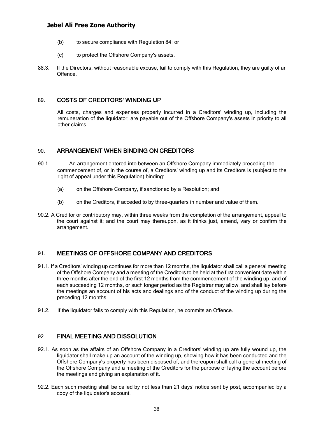- (b) to secure compliance with Regulation 84; or
- (c) to protect the Offshore Company's assets.
- 88.3. If the Directors, without reasonable excuse, fail to comply with this Regulation, they are guilty of an Offence.

## 89. COSTS OF CREDITORS' WINDING UP

All costs, charges and expenses properly incurred in a Creditors' winding up, including the remuneration of the liquidator, are payable out of the Offshore Company's assets in priority to all other claims.

## <span id="page-37-0"></span>90. ARRANGEMENT WHEN BINDING ON CREDITORS

- <span id="page-37-1"></span>90.1. An arrangement entered into between an Offshore Company immediately preceding the commencement of, or in the course of, a Creditors' winding up and its Creditors is (subject to the right of appeal under this Regulation) binding:
	- (a) on the Offshore Company, if sanctioned by a Resolution; and
	- (b) on the Creditors, if acceded to by three-quarters in number and value of them.
- 90.2. A Creditor or contributory may, within three weeks from the completion of the arrangement, appeal to the court against it; and the court may thereupon, as it thinks just, amend, vary or confirm the arrangement.

## 91. MEETINGS OF OFFSHORE COMPANY AND CREDITORS

- <span id="page-37-2"></span>91.1. If a Creditors' winding up continues for more than 12 months, the liquidator shall call a general meeting of the Offshore Company and a meeting of the Creditors to be held at the first convenient date within three months after the end of the first 12 months from the commencement of the winding up, and of each succeeding 12 months, or such longer period as the Registrar may allow, and shall lay before the meetings an account of his acts and dealings and of the conduct of the winding up during the preceding 12 months.
- 91.2. If the liquidator fails to comply with this Regulation, he commits an Offence.

## 92. FINAL MEETING AND DISSOLUTION

- <span id="page-37-3"></span>92.1. As soon as the affairs of an Offshore Company in a Creditors' winding up are fully wound up, the liquidator shall make up an account of the winding up, showing how it has been conducted and the Offshore Company's property has been disposed of, and thereupon shall call a general meeting of the Offshore Company and a meeting of the Creditors for the purpose of laying the account before the meetings and giving an explanation of it.
- 92.2. Each such meeting shall be called by not less than 21 days' notice sent by post, accompanied by a copy of the liquidator's account.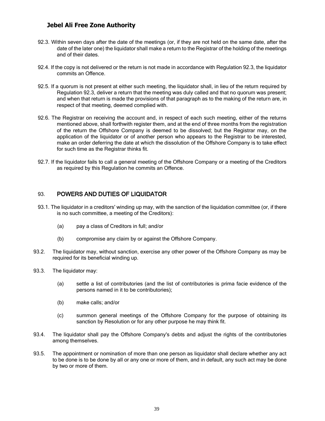- 92.3. Within seven days after the date of the meetings (or, if they are not held on the same date, after the date of the later one) the liquidator shall make a return to the Registrar of the holding of the meetings and of their dates.
- 92.4. If the copy is not delivered or the return is not made in accordance with Regulation 92.3, the liquidator commits an Offence.
- 92.5. If a quorum is not present at either such meeting, the liquidator shall, in lieu of the return required by Regulation 92.3, deliver a return that the meeting was duly called and that no quorum was present; and when that return is made the provisions of that paragraph as to the making of the return are, in respect of that meeting, deemed complied with.
- 92.6. The Registrar on receiving the account and, in respect of each such meeting, either of the returns mentioned above, shall forthwith register them, and at the end of three months from the registration of the return the Offshore Company is deemed to be dissolved; but the Registrar may, on the application of the liquidator or of another person who appears to the Registrar to be interested, make an order deferring the date at which the dissolution of the Offshore Company is to take effect for such time as the Registrar thinks fit.
- 92.7. If the liquidator fails to call a general meeting of the Offshore Company or a meeting of the Creditors as required by this Regulation he commits an Offence.

## 93. POWERS AND DUTIES OF LIQUIDATOR

- <span id="page-38-0"></span>93.1. The liquidator in a creditors' winding up may, with the sanction of the liquidation committee (or, if there is no such committee, a meeting of the Creditors):
	- (a) pay a class of Creditors in full; and/or
	- (b) compromise any claim by or against the Offshore Company.
- 93.2. The liquidator may, without sanction, exercise any other power of the Offshore Company as may be required for its beneficial winding up.
- 93.3. The liquidator may:
	- (a) settle a list of contributories (and the list of contributories is prima facie evidence of the persons named in it to be contributories);
	- (b) make calls; and/or
	- (c) summon general meetings of the Offshore Company for the purpose of obtaining its sanction by Resolution or for any other purpose he may think fit.
- 93.4. The liquidator shall pay the Offshore Company's debts and adjust the rights of the contributories among themselves.
- 93.5. The appointment or nomination of more than one person as liquidator shall declare whether any act to be done is to be done by all or any one or more of them, and in default, any such act may be done by two or more of them.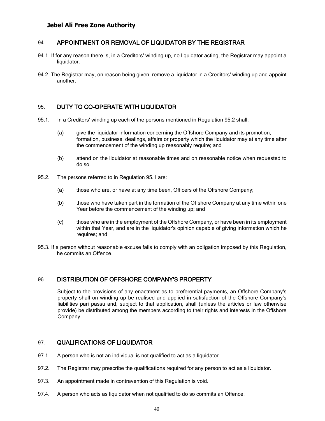## 94. APPOINTMENT OR REMOVAL OF LIQUIDATOR BY THE REGISTRAR

- 94.1. If for any reason there is, in a Creditors' winding up, no liquidator acting, the Registrar may appoint a liquidator.
- <span id="page-39-0"></span>94.2. The Registrar may, on reason being given, remove a liquidator in a Creditors' winding up and appoint another.

#### 95. DUTY TO CO-OPERATE WITH LIQUIDATOR

- <span id="page-39-1"></span>95.1. In a Creditors' winding up each of the persons mentioned in Regulation 95.2 shall:
	- (a) give the liquidator information concerning the Offshore Company and its promotion, formation, business, dealings, affairs or property which the liquidator may at any time after the commencement of the winding up reasonably require; and
	- (b) attend on the liquidator at reasonable times and on reasonable notice when requested to do so.
- 95.2. The persons referred to in Regulation 95.1 are:
	- (a) those who are, or have at any time been, Officers of the Offshore Company;
	- (b) those who have taken part in the formation of the Offshore Company at any time within one Year before the commencement of the winding up; and
	- (c) those who are in the employment of the Offshore Company, or have been in its employment within that Year, and are in the liquidator's opinion capable of giving information which he requires; and
- 95.3. If a person without reasonable excuse fails to comply with an obligation imposed by this Regulation, he commits an Offence.

#### 96. DISTRIBUTION OF OFFSHORE COMPANY'S PROPERTY

<span id="page-39-2"></span>Subject to the provisions of any enactment as to preferential payments, an Offshore Company's property shall on winding up be realised and applied in satisfaction of the Offshore Company's liabilities pari passu and, subject to that application, shall (unless the articles or law otherwise provide) be distributed among the members according to their rights and interests in the Offshore Company.

#### 97. QUALIFICATIONS OF LIQUIDATOR

- 97.1. A person who is not an individual is not qualified to act as a liquidator.
- <span id="page-39-3"></span>97.2. The Registrar may prescribe the qualifications required for any person to act as a liquidator.
- 97.3. An appointment made in contravention of this Regulation is void.
- 97.4. A person who acts as liquidator when not qualified to do so commits an Offence.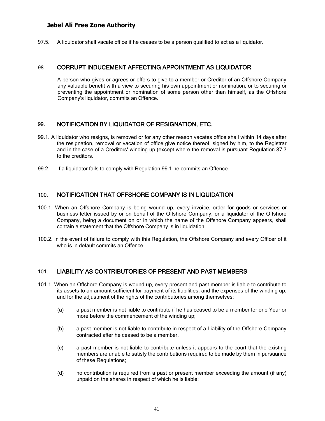97.5. A liquidator shall vacate office if he ceases to be a person qualified to act as a liquidator.

#### 98. CORRUPT INDUCEMENT AFFECTING APPOINTMENT AS LIQUIDATOR

<span id="page-40-0"></span>A person who gives or agrees or offers to give to a member or Creditor of an Offshore Company any valuable benefit with a view to securing his own appointment or nomination, or to securing or preventing the appointment or nomination of some person other than himself, as the Offshore Company's liquidator, commits an Offence.

#### 99. NOTIFICATION BY LIQUIDATOR OF RESIGNATION, ETC.

- <span id="page-40-1"></span>99.1. A liquidator who resigns, is removed or for any other reason vacates office shall within 14 days after the resignation, removal or vacation of office give notice thereof, signed by him, to the Registrar and in the case of a Creditors' winding up (except where the removal is pursuant Regulation 87.3 to the creditors.
- 99.2. If a liquidator fails to comply with Regulation 99.1 he commits an Offence.

#### 100. NOTIFICATION THAT OFFSHORE COMPANY IS IN LIQUIDATION

- <span id="page-40-2"></span>100.1. When an Offshore Company is being wound up, every invoice, order for goods or services or business letter issued by or on behalf of the Offshore Company, or a liquidator of the Offshore Company, being a document on or in which the name of the Offshore Company appears, shall contain a statement that the Offshore Company is in liquidation.
- 100.2. In the event of failure to comply with this Regulation, the Offshore Company and every Officer of it who is in default commits an Offence.

#### 101. LIABILITY AS CONTRIBUTORIES OF PRESENT AND PAST MEMBERS

- <span id="page-40-3"></span>101.1. When an Offshore Company is wound up, every present and past member is liable to contribute to its assets to an amount sufficient for payment of its liabilities, and the expenses of the winding up, and for the adjustment of the rights of the contributories among themselves:
	- (a) a past member is not liable to contribute if he has ceased to be a member for one Year or more before the commencement of the winding up;
	- (b) a past member is not liable to contribute in respect of a Liability of the Offshore Company contracted after he ceased to be a member,
	- (c) a past member is not liable to contribute unless it appears to the court that the existing members are unable to satisfy the contributions required to be made by them in pursuance of these Regulations;
	- (d) no contribution is required from a past or present member exceeding the amount (if any) unpaid on the shares in respect of which he is liable;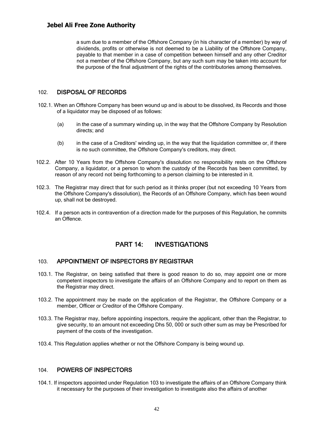a sum due to a member of the Offshore Company (in his character of a member) by way of dividends, profits or otherwise is not deemed to be a Liability of the Offshore Company, payable to that member in a case of competition between himself and any other Creditor not a member of the Offshore Company, but any such sum may be taken into account for the purpose of the final adjustment of the rights of the contributories among themselves.

#### 102. DISPOSAL OF RECORDS

- <span id="page-41-0"></span>102.1. When an Offshore Company has been wound up and is about to be dissolved, its Records and those of a liquidator may be disposed of as follows:
	- (a) in the case of a summary winding up, in the way that the Offshore Company by Resolution directs; and
	- (b) in the case of a Creditors' winding up, in the way that the liquidation committee or, if there is no such committee, the Offshore Company's creditors, may direct.
- 102.2. After 10 Years from the Offshore Company's dissolution no responsibility rests on the Offshore Company, a liquidator, or a person to whom the custody of the Records has been committed, by reason of any record not being forthcoming to a person claiming to be interested in it.
- 102.3. The Registrar may direct that for such period as it thinks proper (but not exceeding 10 Years from the Offshore Company's dissolution), the Records of an Offshore Company, which has been wound up, shall not be destroyed.
- 102.4. If a person acts in contravention of a direction made for the purposes of this Regulation, he commits an Offence.

## PART 14: INVESTIGATIONS

#### 103. APPOINTMENT OF INSPECTORS BY REGISTRAR

- <span id="page-41-1"></span>103.1. The Registrar, on being satisfied that there is good reason to do so, may appoint one or more competent inspectors to investigate the affairs of an Offshore Company and to report on them as the Registrar may direct.
- <span id="page-41-2"></span>103.2. The appointment may be made on the application of the Registrar, the Offshore Company or a member, Officer or Creditor of the Offshore Company.
- 103.3. The Registrar may, before appointing inspectors, require the applicant, other than the Registrar, to give security, to an amount not exceeding Dhs 50, 000 or such other sum as may be Prescribed for payment of the costs of the investigation.
- 103.4. This Regulation applies whether or not the Offshore Company is being wound up.

## 104. POWERS OF INSPECTORS

<span id="page-41-3"></span>104.1. If inspectors appointed under Regulation 103 to investigate the affairs of an Offshore Company think it necessary for the purposes of their investigation to investigate also the affairs of another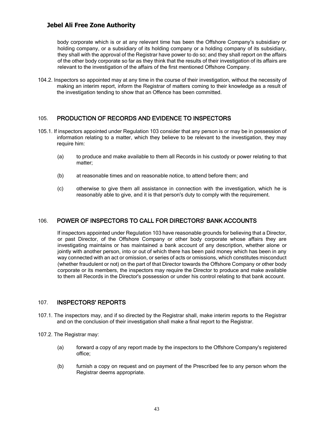body corporate which is or at any relevant time has been the Offshore Company's subsidiary or holding company, or a subsidiary of its holding company or a holding company of its subsidiary, they shall with the approval of the Registrar have power to do so; and they shall report on the affairs of the other body corporate so far as they think that the results of their investigation of its affairs are relevant to the investigation of the affairs of the first mentioned Offshore Company.

104.2. Inspectors so appointed may at any time in the course of their investigation, without the necessity of making an interim report, inform the Registrar of matters coming to their knowledge as a result of the investigation tending to show that an Offence has been committed.

## 105. PRODUCTION OF RECORDS AND EVIDENCE TO INSPECTORS

- <span id="page-42-0"></span>105.1. If inspectors appointed under Regulation 103 consider that any person is or may be in possession of information relating to a matter, which they believe to be relevant to the investigation, they may require him:
	- (a) to produce and make available to them all Records in his custody or power relating to that matter;
	- (b) at reasonable times and on reasonable notice, to attend before them; and
	- (c) otherwise to give them all assistance in connection with the investigation, which he is reasonably able to give, and it is that person's duty to comply with the requirement.

## 106. POWER OF INSPECTORS TO CALL FOR DIRECTORS' BANK ACCOUNTS

<span id="page-42-1"></span>If inspectors appointed under Regulation 103 have reasonable grounds for believing that a Director, or past Director, of the Offshore Company or other body corporate whose affairs they are investigating maintains or has maintained a bank account of any description, whether alone or jointly with another person, into or out of which there has been paid money which has been in any way connected with an act or omission, or series of acts or omissions, which constitutes misconduct (whether fraudulent or not) on the part of that Director towards the Offshore Company or other body corporate or its members, the inspectors may require the Director to produce and make available to them all Records in the Director's possession or under his control relating to that bank account.

#### 107. INSPECTORS' REPORTS

- 107.1. The inspectors may, and if so directed by the Registrar shall, make interim reports to the Registrar and on the conclusion of their investigation shall make a final report to the Registrar.
- <span id="page-42-2"></span>107.2. The Registrar may:
	- (a) forward a copy of any report made by the inspectors to the Offshore Company's registered office;
	- (b) furnish a copy on request and on payment of the Prescribed fee to any person whom the Registrar deems appropriate.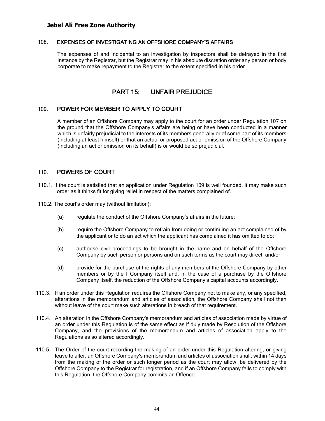#### 108. EXPENSES OF INVESTIGATING AN OFFSHORE COMPANY'S AFFAIRS

<span id="page-43-0"></span>The expenses of and incidental to an investigation by inspectors shall be defrayed in the first instance by the Registrar, but the Registrar may in his absolute discretion order any person or body corporate to make repayment to the Registrar to the extent specified in his order.

## PART 15: UNFAIR PREJUDICE

## <span id="page-43-1"></span>109. POWER FOR MEMBER TO APPLY TO COURT

<span id="page-43-2"></span>A member of an Offshore Company may apply to the court for an order under Regulation 107 on the ground that the Offshore Company's affairs are being or have been conducted in a manner which is unfairly prejudicial to the interests of its members generally or of some part of its members (including at least himself) or that an actual or proposed act or omission of the Offshore Company (including an act or omission on its behalf) is or would be so prejudicial.

#### 110. POWERS OF COURT

- 110.1. If the court is satisfied that an application under Regulation 109 is well founded, it may make such order as it thinks fit for giving relief in respect of the matters complained of.
- <span id="page-43-3"></span>110.2. The court's order may (without limitation):
	- (a) regulate the conduct of the Offshore Company's affairs in the future;
	- (b) require the Offshore Company to refrain from doing or continuing an act complained of by the applicant or to do an act which the applicant has complained it has omitted to do;
	- (c) authorise civil proceedings to be brought in the name and on behalf of the Offshore Company by such person or persons and on such terms as the court may direct; and/or
	- (d) provide for the purchase of the rights of any members of the Offshore Company by other members or by the I Company itself and, in the case of a purchase by the Offshore Company itself, the reduction of the Offshore Company's capital accounts accordingly.
- 110.3. If an order under this Regulation requires the Offshore Company not to make any, or any specified, alterations in the memorandum and articles of association, the Offshore Company shall not then without leave of the court make such alterations in breach of that requirement.
- 110.4. An alteration in the Offshore Company's memorandum and articles of association made by virtue of an order under this Regulation is of the same effect as if duly made by Resolution of the Offshore Company, and the provisions of the memorandum and articles of association apply to the Regulations as so altered accordingly.
- 110.5. The Order of the court recording the making of an order under this Regulation altering, or giving leave to alter, an Offshore Company's memorandum and articles of association shall, within 14 days from the making of the order or such longer period as the court may allow, be delivered by the Offshore Company to the Registrar for registration, and if an Offshore Company fails to comply with this Regulation, the Offshore Company commits an Offence.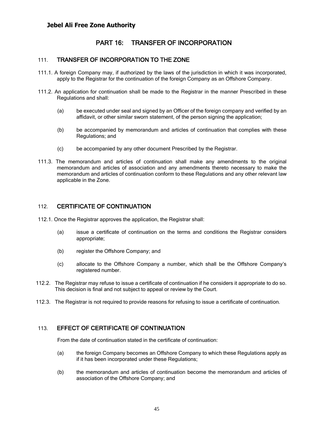## PART 16: TRANSFER OF INCORPORATION

#### 111. TRANSFER OF INCORPORATION TO THE ZONE

- <span id="page-44-0"></span>111.1. A foreign Company may, if authorized by the laws of the jurisdiction in which it was incorporated, apply to the Registrar for the continuation of the foreign Company as an Offshore Company.
- <span id="page-44-1"></span>111.2. An application for continuation shall be made to the Registrar in the manner Prescribed in these Regulations and shall:
	- (a) be executed under seal and signed by an Officer of the foreign company and verified by an affidavit, or other similar sworn statement, of the person signing the application;
	- (b) be accompanied by memorandum and articles of continuation that complies with these Regulations; and
	- (c) be accompanied by any other document Prescribed by the Registrar.
- 111.3. The memorandum and articles of continuation shall make any amendments to the original memorandum and articles of association and any amendments thereto necessary to make the memorandum and articles of continuation conform to these Regulations and any other relevant law applicable in the Zone.

#### 112. CERTIFICATE OF CONTINUATION

- <span id="page-44-2"></span>112.1. Once the Registrar approves the application, the Registrar shall:
	- (a) issue a certificate of continuation on the terms and conditions the Registrar considers appropriate;
	- (b) register the Offshore Company; and
	- (c) allocate to the Offshore Company a number, which shall be the Offshore Company's registered number.
- 112.2. The Registrar may refuse to issue a certificate of continuation if he considers it appropriate to do so. This decision is final and not subject to appeal or review by the Court.
- 112.3. The Registrar is not required to provide reasons for refusing to issue a certificate of continuation.

## 113. EFFECT OF CERTIFICATE OF CONTINUATION

From the date of continuation stated in the certificate of continuation:

- <span id="page-44-3"></span>(a) the foreign Company becomes an Offshore Company to which these Regulations apply as if it has been incorporated under these Regulations;
- (b) the memorandum and articles of continuation become the memorandum and articles of association of the Offshore Company; and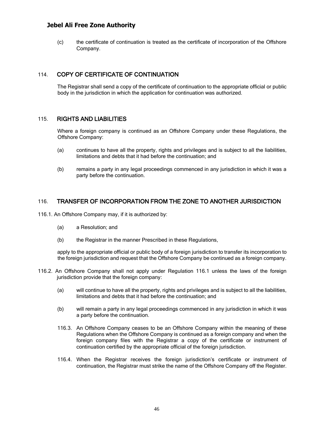(c) the certificate of continuation is treated as the certificate of incorporation of the Offshore Company.

## 114. COPY OF CERTIFICATE OF CONTINUATION

The Registrar shall send a copy of the certificate of continuation to the appropriate official or public body in the jurisdiction in which the application for continuation was authorized.

#### <span id="page-45-0"></span>115. RIGHTS AND LIABILITIES

Where a foreign company is continued as an Offshore Company under these Regulations, the Offshore Company:

- <span id="page-45-1"></span>(a) continues to have all the property, rights and privileges and is subject to all the liabilities, limitations and debts that it had before the continuation; and
- (b) remains a party in any legal proceedings commenced in any jurisdiction in which it was a party before the continuation.

#### 116. TRANSFER OF INCORPORATION FROM THE ZONE TO ANOTHER JURISDICTION

<span id="page-45-2"></span>116.1. An Offshore Company may, if it is authorized by:

- (a) a Resolution; and
- (b) the Registrar in the manner Prescribed in these Regulations,

apply to the appropriate official or public body of a foreign jurisdiction to transfer its incorporation to the foreign jurisdiction and request that the Offshore Company be continued as a foreign company.

- 116.2. An Offshore Company shall not apply under Regulation 116.1 unless the laws of the foreign jurisdiction provide that the foreign company:
	- (a) will continue to have all the property, rights and privileges and is subject to all the liabilities, limitations and debts that it had before the continuation; and
	- (b) will remain a party in any legal proceedings commenced in any jurisdiction in which it was a party before the continuation.
	- 116.3. An Offshore Company ceases to be an Offshore Company within the meaning of these Regulations when the Offshore Company is continued as a foreign company and when the foreign company files with the Registrar a copy of the certificate or instrument of continuation certified by the appropriate official of the foreign jurisdiction.
	- 116.4. When the Registrar receives the foreign jurisdiction's certificate or instrument of continuation, the Registrar must strike the name of the Offshore Company off the Register.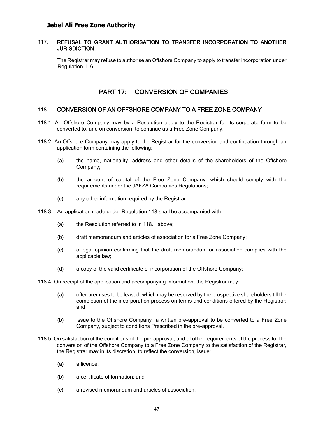#### 117. REFUSAL TO GRANT AUTHORISATION TO TRANSFER INCORPORATION TO ANOTHER **JURISDICTION**

<span id="page-46-0"></span>The Registrar may refuse to authorise an Offshore Company to apply to transfer incorporation under Regulation 116.

## PART 17: CONVERSION OF COMPANIES

#### 118. CONVERSION OF AN OFFSHORE COMPANY TO A FREE ZONE COMPANY

- <span id="page-46-1"></span>118.1. An Offshore Company may by a Resolution apply to the Registrar for its corporate form to be converted to, and on conversion, to continue as a Free Zone Company.
- <span id="page-46-2"></span>118.2. An Offshore Company may apply to the Registrar for the conversion and continuation through an application form containing the following:
	- (a) the name, nationality, address and other details of the shareholders of the Offshore Company;
	- (b) the amount of capital of the Free Zone Company; which should comply with the requirements under the JAFZA Companies Regulations;
	- (c) any other information required by the Registrar.
- 118.3. An application made under Regulation 118 shall be accompanied with:
	- (a) the Resolution referred to in 118.1 above;
	- (b) draft memorandum and articles of association for a Free Zone Company;
	- (c) a legal opinion confirming that the draft memorandum or association complies with the applicable law;
	- (d) a copy of the valid certificate of incorporation of the Offshore Company;
- 118.4. On receipt of the application and accompanying information, the Registrar may:
	- (a) offer premises to be leased, which may be reserved by the prospective shareholders till the completion of the incorporation process on terms and conditions offered by the Registrar; and
	- (b) issue to the Offshore Company a written pre-approval to be converted to a Free Zone Company, subject to conditions Prescribed in the pre-approval.
- 118.5. On satisfaction of the conditions of the pre-approval, and of other requirements of the process for the conversion of the Offshore Company to a Free Zone Company to the satisfaction of the Registrar, the Registrar may in its discretion, to reflect the conversion, issue:
	- (a) a licence;
	- (b) a certificate of formation; and
	- (c) a revised memorandum and articles of association.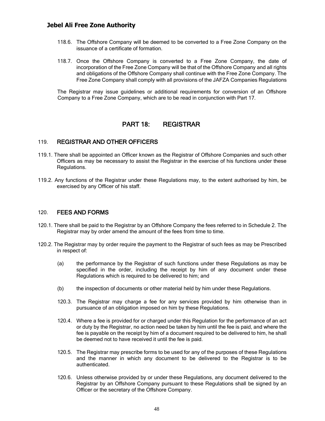- 118.6. The Offshore Company will be deemed to be converted to a Free Zone Company on the issuance of a certificate of formation.
- 118.7. Once the Offshore Company is converted to a Free Zone Company, the date of incorporation of the Free Zone Company will be that of the Offshore Company and all rights and obligations of the Offshore Company shall continue with the Free Zone Company. The Free Zone Company shall comply with all provisions of the JAFZA Companies Regulations

The Registrar may issue guidelines or additional requirements for conversion of an Offshore Company to a Free Zone Company, which are to be read in conjunction with Part 17.

## PART 18: REGISTRAR

#### 119. REGISTRAR AND OTHER OFFICERS

- <span id="page-47-0"></span>119.1. There shall be appointed an Officer known as the Registrar of Offshore Companies and such other Officers as may be necessary to assist the Registrar in the exercise of his functions under these Regulations.
- <span id="page-47-1"></span>119.2. Any functions of the Registrar under these Regulations may, to the extent authorised by him, be exercised by any Officer of his staff.

#### 120. FEES AND FORMS

- 120.1. There shall be paid to the Registrar by an Offshore Company the fees referred to in Schedule 2. The Registrar may by order amend the amount of the fees from time to time.
- <span id="page-47-2"></span>120.2. The Registrar may by order require the payment to the Registrar of such fees as may be Prescribed in respect of:
	- (a) the performance by the Registrar of such functions under these Regulations as may be specified in the order, including the receipt by him of any document under these Regulations which is required to be delivered to him; and
	- (b) the inspection of documents or other material held by him under these Regulations.
	- 120.3. The Registrar may charge a fee for any services provided by him otherwise than in pursuance of an obligation imposed on him by these Regulations.
	- 120.4. Where a fee is provided for or charged under this Regulation for the performance of an act or duty by the Registrar, no action need be taken by him until the fee is paid, and where the fee is payable on the receipt by him of a document required to be delivered to him, he shall be deemed not to have received it until the fee is paid.
	- 120.5. The Registrar may prescribe forms to be used for any of the purposes of these Regulations and the manner in which any document to be delivered to the Registrar is to be authenticated.
	- 120.6. Unless otherwise provided by or under these Regulations, any document delivered to the Registrar by an Offshore Company pursuant to these Regulations shall be signed by an Officer or the secretary of the Offshore Company.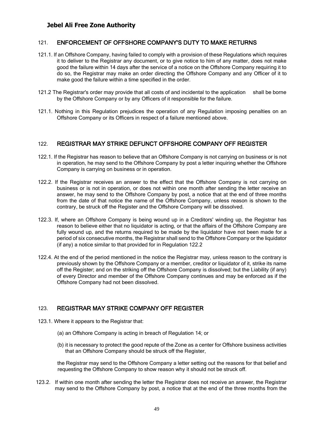#### 121. ENFORCEMENT OF OFFSHORE COMPANY'S DUTY TO MAKE RETURNS

- <span id="page-48-0"></span>121.1. If an Offshore Company, having failed to comply with a provision of these Regulations which requires it to deliver to the Registrar any document, or to give notice to him of any matter, does not make good the failure within 14 days after the service of a notice on the Offshore Company requiring it to do so, the Registrar may make an order directing the Offshore Company and any Officer of it to make good the failure within a time specified in the order.
- 121.2 The Registrar's order may provide that all costs of and incidental to the application shall be borne by the Offshore Company or by any Officers of it responsible for the failure.
- 121.1. Nothing in this Regulation prejudices the operation of any Regulation imposing penalties on an Offshore Company or its Officers in respect of a failure mentioned above.

#### 122. REGISTRAR MAY STRIKE DEFUNCT OFFSHORE COMPANY OFF REGISTER

- 122.1. If the Registrar has reason to believe that an Offshore Company is not carrying on business or is not in operation, he may send to the Offshore Company by post a letter inquiring whether the Offshore Company is carrying on business or in operation.
- <span id="page-48-1"></span>122.2. If the Registrar receives an answer to the effect that the Offshore Company is not carrying on business or is not in operation, or does not within one month after sending the letter receive an answer, he may send to the Offshore Company by post, a notice that at the end of three months from the date of that notice the name of the Offshore Company, unless reason is shown to the contrary, be struck off the Register and the Offshore Company will be dissolved.
- 122.3. If, where an Offshore Company is being wound up in a Creditors' winding up, the Registrar has reason to believe either that no liquidator is acting, or that the affairs of the Offshore Company are fully wound up, and the returns required to be made by the liquidator have not been made for a period of six consecutive months, the Registrar shall send to the Offshore Company or the liquidator (if any) a notice similar to that provided for in Regulation 122.2
- 122.4. At the end of the period mentioned in the notice the Registrar may, unless reason to the contrary is previously shown by the Offshore Company or a member, creditor or liquidator of it, strike its name off the Register; and on the striking off the Offshore Company is dissolved; but the Liability (if any) of every Director and member of the Offshore Company continues and may be enforced as if the Offshore Company had not been dissolved.

## 123. REGISTRAR MAY STRIKE COMPANY OFF REGISTER

- <span id="page-48-2"></span>123.1. Where it appears to the Registrar that:
	- (a) an Offshore Company is acting in breach of Regulation 14; or
	- (b) it is necessary to protect the good repute of the Zone as a center for Offshore business activities that an Offshore Company should be struck off the Register,

the Registrar may send to the Offshore Company a letter setting out the reasons for that belief and requesting the Offshore Company to show reason why it should not be struck off.

123.2. If within one month after sending the letter the Registrar does not receive an answer, the Registrar may send to the Offshore Company by post, a notice that at the end of the three months from the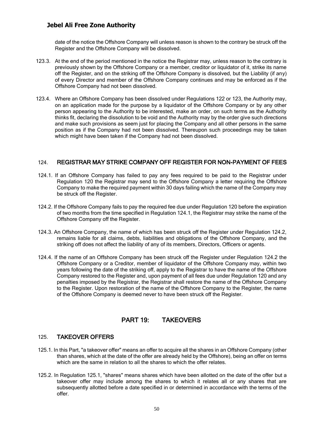date of the notice the Offshore Company will unless reason is shown to the contrary be struck off the Register and the Offshore Company will be dissolved.

- 123.3. At the end of the period mentioned in the notice the Registrar may, unless reason to the contrary is previously shown by the Offshore Company or a member, creditor or liquidator of it, strike its name off the Register, and on the striking off the Offshore Company is dissolved, but the Liability (if any) of every Director and member of the Offshore Company continues and may be enforced as if the Offshore Company had not been dissolved.
- 123.4. Where an Offshore Company has been dissolved under Regulations 122 or 123, the Authority may, on an application made for the purpose by a liquidator of the Offshore Company or by any other person appearing to the Authority to be interested, make an order, on such terms as the Authority thinks fit, declaring the dissolution to be void and the Authority may by the order give such directions and make such provisions as seem just for placing the Company and all other persons in the same position as if the Company had not been dissolved. Thereupon such proceedings may be taken which might have been taken if the Company had not been dissolved.

## 124. REGISTRAR MAY STRIKE COMPANY OFF REGISTER FOR NON-PAYMENT OF FEES

- <span id="page-49-0"></span>124.1. If an Offshore Company has failed to pay any fees required to be paid to the Registrar under Regulation 120 the Registrar may send to the Offshore Company a letter requiring the Offshore Company to make the required payment within 30 days failing which the name of the Company may be struck off the Register.
- 124.2. If the Offshore Company fails to pay the required fee due under Regulation 120 before the expiration of two months from the time specified in Regulation 124.1, the Registrar may strike the name of the Offshore Company off the Register.
- 124.3. An Offshore Company, the name of which has been struck off the Register under Regulation 124.2, remains liable for all claims, debts, liabilities and obligations of the Offshore Company, and the striking off does not affect the liability of any of its members, Directors, Officers or agents.
- 124.4. If the name of an Offshore Company has been struck off the Register under Regulation 124.2 the Offshore Company or a Creditor, member of liquidator of the Offshore Company may, within two years following the date of the striking off, apply to the Registrar to have the name of the Offshore Company restored to the Register and, upon payment of all fees due under Regulation 120 and any penalties imposed by the Registrar, the Registrar shall restore the name of the Offshore Company to the Register. Upon restoration of the name of the Offshore Company to the Register, the name of the Offshore Company is deemed never to have been struck off the Register.

## PART 19: TAKEOVERS

#### 125. TAKEOVER OFFERS

- <span id="page-49-1"></span>125.1. In this Part, "a takeover offer" means an offer to acquire all the shares in an Offshore Company (other than shares, which at the date of the offer are already held by the Offshore), being an offer on terms which are the same in relation to all the shares to which the offer relates.
- <span id="page-49-2"></span>125.2. In Regulation 125.1, "shares" means shares which have been allotted on the date of the offer but a takeover offer may include among the shares to which it relates all or any shares that are subsequently allotted before a date specified in or determined in accordance with the terms of the offer.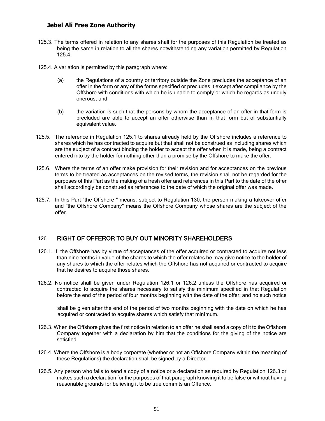- 125.3. The terms offered in relation to any shares shall for the purposes of this Regulation be treated as being the same in relation to all the shares notwithstanding any variation permitted by Regulation 125.4.
- 125.4. A variation is permitted by this paragraph where:
	- (a) the Regulations of a country or territory outside the Zone precludes the acceptance of an offer in the form or any of the forms specified or precludes it except after compliance by the Offshore with conditions with which he is unable to comply or which he regards as unduly onerous; and
	- (b) the variation is such that the persons by whom the acceptance of an offer in that form is precluded are able to accept an offer otherwise than in that form but of substantially equivalent value.
- 125.5. The reference in Regulation 125.1 to shares already held by the Offshore includes a reference to shares which he has contracted to acquire but that shall not be construed as including shares which are the subject of a contract binding the holder to accept the offer when it is made, being a contract entered into by the holder for nothing other than a promise by the Offshore to make the offer.
- 125.6. Where the terms of an offer make provision for their revision and for acceptances on the previous terms to be treated as acceptances on the revised terms, the revision shall not be regarded for the purposes of this Part as the making of a fresh offer and references in this Part to the date of the offer shall accordingly be construed as references to the date of which the original offer was made.
- 125.7. In this Part "the Offshore " means, subject to Regulation 130, the person making a takeover offer and "the Offshore Company" means the Offshore Company whose shares are the subject of the offer.

## 126. RIGHT OF OFFEROR TO BUY OUT MINORITY SHAREHOLDERS

- <span id="page-50-0"></span>126.1. If, the Offshore has by virtue of acceptances of the offer acquired or contracted to acquire not less than nine-tenths in value of the shares to which the offer relates he may give notice to the holder of any shares to which the offer relates which the Offshore has not acquired or contracted to acquire that he desires to acquire those shares.
- 126.2. No notice shall be given under Regulation 126.1 or 126.2 unless the Offshore has acquired or contracted to acquire the shares necessary to satisfy the minimum specified in that Regulation before the end of the period of four months beginning with the date of the offer; and no such notice

shall be given after the end of the period of two months beginning with the date on which he has acquired or contracted to acquire shares which satisfy that minimum.

- 126.3. When the Offshore gives the first notice in relation to an offer he shall send a copy of it to the Offshore Company together with a declaration by him that the conditions for the giving of the notice are satisfied.
- 126.4. Where the Offshore is a body corporate (whether or not an Offshore Company within the meaning of these Regulations) the declaration shall be signed by a Director.
- 126.5. Any person who fails to send a copy of a notice or a declaration as required by Regulation 126.3 or makes such a declaration for the purposes of that paragraph knowing it to be false or without having reasonable grounds for believing it to be true commits an Offence.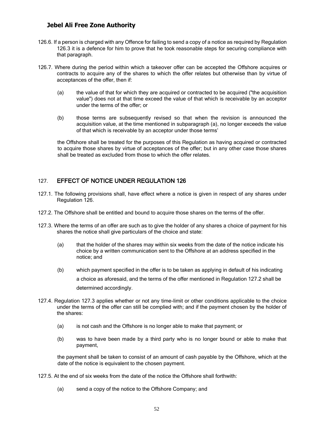- 126.6. If a person is charged with any Offence for failing to send a copy of a notice as required by Regulation 126.3 it is a defence for him to prove that he took reasonable steps for securing compliance with that paragraph.
- 126.7. Where during the period within which a takeover offer can be accepted the Offshore acquires or contracts to acquire any of the shares to which the offer relates but otherwise than by virtue of acceptances of the offer, then if:
	- (a) the value of that for which they are acquired or contracted to be acquired ("the acquisition value") does not at that time exceed the value of that which is receivable by an acceptor under the terms of the offer; or
	- (b) those terms are subsequently revised so that when the revision is announced the acquisition value, at the time mentioned in subparagraph (a), no longer exceeds the value of that which is receivable by an acceptor under those terms'

the Offshore shall be treated for the purposes of this Regulation as having acquired or contracted to acquire those shares by virtue of acceptances of the offer; but in any other case those shares shall be treated as excluded from those to which the offer relates.

## 127. EFFECT OF NOTICE UNDER REGULATION 126

- 127.1. The following provisions shall, have effect where a notice is given in respect of any shares under Regulation 126.
- <span id="page-51-0"></span>127.2. The Offshore shall be entitled and bound to acquire those shares on the terms of the offer.
- 127.3. Where the terms of an offer are such as to give the holder of any shares a choice of payment for his shares the notice shall give particulars of the choice and state:
	- (a) that the holder of the shares may within six weeks from the date of the notice indicate his choice by a written communication sent to the Offshore at an address specified in the notice; and
	- (b) which payment specified in the offer is to be taken as applying in default of his indicating a choice as aforesaid, and the terms of the offer mentioned in Regulation 127.2 shall be determined accordingly.
- 127.4. Regulation 127.3 applies whether or not any time-limit or other conditions applicable to the choice under the terms of the offer can still be complied with; and if the payment chosen by the holder of the shares:
	- (a) is not cash and the Offshore is no longer able to make that payment; or
	- (b) was to have been made by a third party who is no longer bound or able to make that payment,

the payment shall be taken to consist of an amount of cash payable by the Offshore, which at the date of the notice is equivalent to the chosen payment.

- 127.5. At the end of six weeks from the date of the notice the Offshore shall forthwith:
	- (a) send a copy of the notice to the Offshore Company; and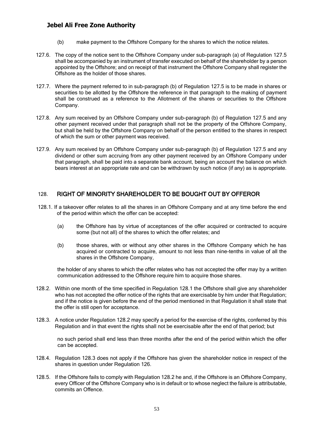- (b) make payment to the Offshore Company for the shares to which the notice relates.
- 127.6. The copy of the notice sent to the Offshore Company under sub-paragraph (a) of Regulation 127.5 shall be accompanied by an instrument of transfer executed on behalf of the shareholder by a person appointed by the Offshore; and on receipt of that instrument the Offshore Company shall register the Offshore as the holder of those shares.
- 127.7. Where the payment referred to in sub-paragraph (b) of Regulation 127.5 is to be made in shares or securities to be allotted by the Offshore the reference in that paragraph to the making of payment shall be construed as a reference to the Allotment of the shares or securities to the Offshore Company.
- 127.8. Any sum received by an Offshore Company under sub-paragraph (b) of Regulation 127.5 and any other payment received under that paragraph shall not be the property of the Offshore Company, but shall be held by the Offshore Company on behalf of the person entitled to the shares in respect of which the sum or other payment was received.
- 127.9. Any sum received by an Offshore Company under sub-paragraph (b) of Regulation 127.5 and any dividend or other sum accruing from any other payment received by an Offshore Company under that paragraph, shall be paid into a separate bank account, being an account the balance on which bears interest at an appropriate rate and can be withdrawn by such notice (if any) as is appropriate.

## 128. RIGHT OF MINORITY SHAREHOLDER TO BE BOUGHT OUT BY OFFEROR

- <span id="page-52-0"></span>128.1. If a takeover offer relates to all the shares in an Offshore Company and at any time before the end of the period within which the offer can be accepted:
	- (a) the Offshore has by virtue of acceptances of the offer acquired or contracted to acquire some (but not all) of the shares to which the offer relates; and
	- (b) those shares, with or without any other shares in the Offshore Company which he has acquired or contracted to acquire, amount to not less than nine-tenths in value of all the shares in the Offshore Company,

the holder of any shares to which the offer relates who has not accepted the offer may by a written communication addressed to the Offshore require him to acquire those shares.

- 128.2. Within one month of the time specified in Regulation 128.1 the Offshore shall give any shareholder who has not accepted the offer notice of the rights that are exercisable by him under that Regulation; and if the notice is given before the end of the period mentioned in that Regulation it shall state that the offer is still open for acceptance.
- 128.3. A notice under Regulation 128.2 may specify a period for the exercise of the rights, conferred by this Regulation and in that event the rights shall not be exercisable after the end of that period; but

no such period shall end less than three months after the end of the period within which the offer can be accepted.

- 128.4. Regulation 128.3 does not apply if the Offshore has given the shareholder notice in respect of the shares in question under Regulation 126.
- 128.5. If the Offshore fails to comply with Regulation 128.2 he and, if the Offshore is an Offshore Company, every Officer of the Offshore Company who is in default or to whose neglect the failure is attributable, commits an Offence.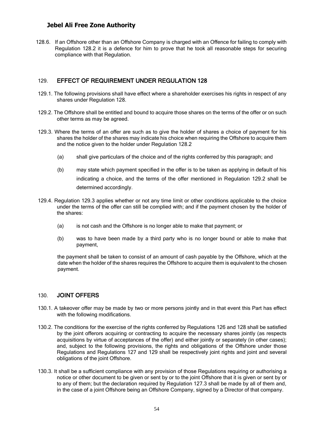128.6. If an Offshore other than an Offshore Company is charged with an Offence for failing to comply with Regulation 128.2 it is a defence for him to prove that he took all reasonable steps for securing compliance with that Regulation.

#### 129. EFFECT OF REQUIREMENT UNDER REGULATION 128

- 129.1. The following provisions shall have effect where a shareholder exercises his rights in respect of any shares under Regulation 128.
- <span id="page-53-0"></span>129.2. The Offshore shall be entitled and bound to acquire those shares on the terms of the offer or on such other terms as may be agreed.
- 129.3. Where the terms of an offer are such as to give the holder of shares a choice of payment for his shares the holder of the shares may indicate his choice when requiring the Offshore to acquire them and the notice given to the holder under Regulation 128.2
	- (a) shall give particulars of the choice and of the rights conferred by this paragraph; and
	- (b) may state which payment specified in the offer is to be taken as applying in default of his indicating a choice, and the terms of the offer mentioned in Regulation 129.2 shall be determined accordingly.
- 129.4. Regulation 129.3 applies whether or not any time limit or other conditions applicable to the choice under the terms of the offer can still be complied with; and if the payment chosen by the holder of the shares:
	- (a) is not cash and the Offshore is no longer able to make that payment; or
	- (b) was to have been made by a third party who is no longer bound or able to make that payment,

the payment shall be taken to consist of an amount of cash payable by the Offshore, which at the date when the holder of the shares requires the Offshore to acquire them is equivalent to the chosen payment.

#### 130. JOINT OFFERS

- 130.1. A takeover offer may be made by two or more persons jointly and in that event this Part has effect with the following modifications.
- <span id="page-53-1"></span>130.2. The conditions for the exercise of the rights conferred by Regulations 126 and 128 shall be satisfied by the joint offerors acquiring or contracting to acquire the necessary shares jointly (as respects acquisitions by virtue of acceptances of the offer) and either jointly or separately (in other cases); and, subject to the following provisions, the rights and obligations of the Offshore under those Regulations and Regulations 127 and 129 shall be respectively joint rights and joint and several obligations of the joint Offshore.
- 130.3. It shall be a sufficient compliance with any provision of those Regulations requiring or authorising a notice or other document to be given or sent by or to the joint Offshore that it is given or sent by or to any of them; but the declaration required by Regulation 127.3 shall be made by all of them and, in the case of a joint Offshore being an Offshore Company, signed by a Director of that company.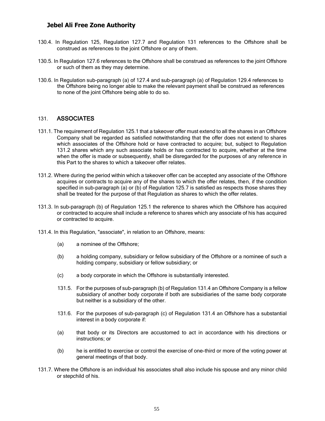- 130.4. In Regulation 125, Regulation 127.7 and Regulation 131 references to the Offshore shall be construed as references to the joint Offshore or any of them.
- 130.5. In Regulation 127.6 references to the Offshore shall be construed as references to the joint Offshore or such of them as they may determine.
- 130.6. In Regulation sub-paragraph (a) of 127.4 and sub-paragraph (a) of Regulation 129.4 references to the Offshore being no longer able to make the relevant payment shall be construed as references to none of the joint Offshore being able to do so.

#### 131. ASSOCIATES

- <span id="page-54-0"></span>131.1. The requirement of Regulation 125.1 that a takeover offer must extend to all the shares in an Offshore Company shall be regarded as satisfied notwithstanding that the offer does not extend to shares which associates of the Offshore hold or have contracted to acquire; but, subject to Regulation 131.2 shares which any such associate holds or has contracted to acquire, whether at the time when the offer is made or subsequently, shall be disregarded for the purposes of any reference in this Part to the shares to which a takeover offer relates.
- 131.2. Where during the period within which a takeover offer can be accepted any associate of the Offshore acquires or contracts to acquire any of the shares to which the offer relates, then, if the condition specified in sub-paragraph (a) or (b) of Regulation 125.7 is satisfied as respects those shares they shall be treated for the purpose of that Regulation as shares to which the offer relates.
- 131.3. In sub-paragraph (b) of Regulation 125.1 the reference to shares which the Offshore has acquired or contracted to acquire shall include a reference to shares which any associate of his has acquired or contracted to acquire.
- 131.4. In this Regulation, "associate", in relation to an Offshore, means:
	- (a) a nominee of the Offshore;
	- (b) a holding company, subsidiary or fellow subsidiary of the Offshore or a nominee of such a holding company, subsidiary or fellow subsidiary; or
	- (c) a body corporate in which the Offshore is substantially interested.
	- 131.5. For the purposes of sub-paragraph (b) of Regulation 131.4 an Offshore Company is a fellow subsidiary of another body corporate if both are subsidiaries of the same body corporate but neither is a subsidiary of the other.
	- 131.6. For the purposes of sub-paragraph (c) of Regulation 131.4 an Offshore has a substantial interest in a body corporate if:
	- (a) that body or its Directors are accustomed to act in accordance with his directions or instructions; or
	- (b) he is entitled to exercise or control the exercise of one-third or more of the voting power at general meetings of that body.
- 131.7. Where the Offshore is an individual his associates shall also include his spouse and any minor child or stepchild of his.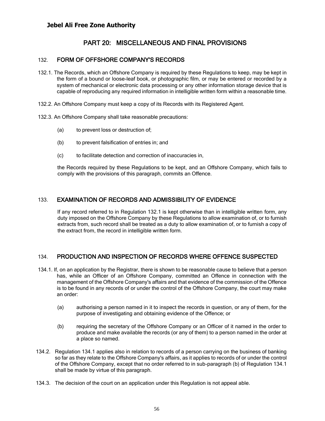## PART 20: MISCELLANEOUS AND FINAL PROVISIONS

#### 132. FORM OF OFFSHORE COMPANY'S RECORDS

- <span id="page-55-1"></span><span id="page-55-0"></span>132.1. The Records, which an Offshore Company is required by these Regulations to keep, may be kept in the form of a bound or loose-leaf book, or photographic film, or may be entered or recorded by a system of mechanical or electronic data processing or any other information storage device that is capable of reproducing any required information in intelligible written form within a reasonable time.
- 132.2. An Offshore Company must keep a copy of its Records with its Registered Agent.
- 132.3. An Offshore Company shall take reasonable precautions:
	- (a) to prevent loss or destruction of;
	- (b) to prevent falsification of entries in; and
	- (c) to facilitate detection and correction of inaccuracies in,

the Records required by these Regulations to be kept, and an Offshore Company, which fails to comply with the provisions of this paragraph, commits an Offence.

#### 133. EXAMINATION OF RECORDS AND ADMISSIBILITY OF EVIDENCE

<span id="page-55-2"></span>If any record referred to in Regulation 132.1 is kept otherwise than in intelligible written form, any duty imposed on the Offshore Company by these Regulations to allow examination of, or to furnish extracts from, such record shall be treated as a duty to allow examination of, or to furnish a copy of the extract from, the record in intelligible written form.

#### 134. PRODUCTION AND INSPECTION OF RECORDS WHERE OFFENCE SUSPECTED

- <span id="page-55-3"></span>134.1. If, on an application by the Registrar, there is shown to be reasonable cause to believe that a person has, while an Officer of an Offshore Company, committed an Offence in connection with the management of the Offshore Company's affairs and that evidence of the commission of the Offence is to be found in any records of or under the control of the Offshore Company, the court may make an order:
	- (a) authorising a person named in it to inspect the records in question, or any of them, for the purpose of investigating and obtaining evidence of the Offence; or
	- (b) requiring the secretary of the Offshore Company or an Officer of it named in the order to produce and make available the records (or any of them) to a person named in the order at a place so named.
- 134.2. Regulation 134.1 applies also in relation to records of a person carrying on the business of banking so far as they relate to the Offshore Company's affairs, as it applies to records of or under the control of the Offshore Company, except that no order referred to in sub-paragraph (b) of Regulation 134.1 shall be made by virtue of this paragraph.
- 134.3. The decision of the court on an application under this Regulation is not appeal able.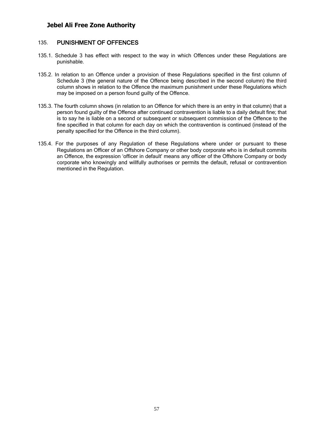#### 135. PUNISHMENT OF OFFENCES

- 135.1. Schedule 3 has effect with respect to the way in which Offences under these Regulations are punishable.
- <span id="page-56-0"></span>135.2. In relation to an Offence under a provision of these Regulations specified in the first column of Schedule 3 (the general nature of the Offence being described in the second column) the third column shows in relation to the Offence the maximum punishment under these Regulations which may be imposed on a person found guilty of the Offence.
- 135.3. The fourth column shows (in relation to an Offence for which there is an entry in that column) that a person found guilty of the Offence after continued contravention is liable to a daily default fine; that is to say he is liable on a second or subsequent or subsequent commission of the Offence to the fine specified in that column for each day on which the contravention is continued (instead of the penalty specified for the Offence in the third column).
- 135.4. For the purposes of any Regulation of these Regulations where under or pursuant to these Regulations an Officer of an Offshore Company or other body corporate who is in default commits an Offence, the expression 'officer in default' means any officer of the Offshore Company or body corporate who knowingly and willfully authorises or permits the default, refusal or contravention mentioned in the Regulation.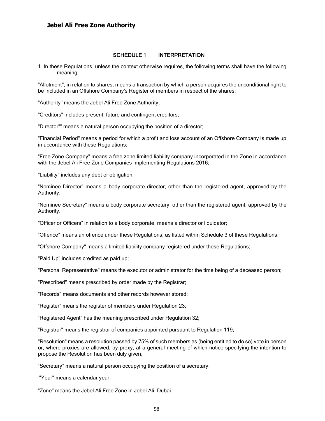#### SCHEDULE 1 INTERPRETATION

1. In these Regulations, unless the context otherwise requires, the following terms shall have the following meaning:

<span id="page-57-0"></span>"Allotment", in relation to shares, means a transaction by which a person acquires the unconditional right to be included in an Offshore Company's Register of members in respect of the shares;

"Authority" means the Jebel Ali Free Zone Authority;

"Creditors" includes present, future and contingent creditors;

"Director"" means a natural person occupying the position of a director;

"Financial Period" means a period for which a profit and loss account of an Offshore Company is made up in accordance with these Regulations;

"Free Zone Company" means a free zone limited liability company incorporated in the Zone in accordance with the Jebel Ali Free Zone Companies Implementing Regulations 2016;

"Liability" includes any debt or obligation;

"Nominee Director" means a body corporate director, other than the registered agent, approved by the Authority.

"Nominee Secretary" means a body corporate secretary, other than the registered agent, approved by the Authority.

"Officer or Officers" in relation to a body corporate, means a director or liquidator;

"Offence" means an offence under these Regulations, as listed within Schedule 3 of these Regulations.

"Offshore Company" means a limited liability company registered under these Regulations;

"Paid Up" includes credited as paid up;

"Personal Representative" means the executor or administrator for the time being of a deceased person;

"Prescribed" means prescribed by order made by the Registrar;

"Records" means documents and other records however stored;

"Register" means the register of members under Regulation 23;

"Registered Agent" has the meaning prescribed under Regulation 32;

"Registrar" means the registrar of companies appointed pursuant to Regulation 119;

"Resolution" means a resolution passed by 75% of such members as (being entitled to do so) vote in person or, where proxies are allowed, by proxy, at a general meeting of which notice specifying the intention to propose the Resolution has been duly given;

"Secretary" means a natural person occupying the position of a secretary;

"Year" means a calendar year;

"Zone" means the Jebel Ali Free Zone in Jebel Ali, Dubai.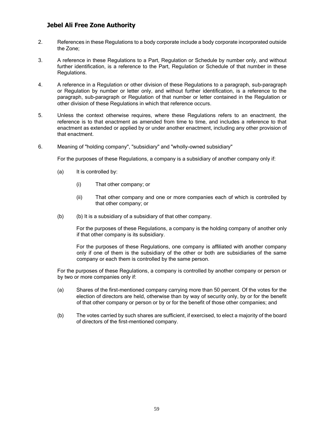- 2. References in these Regulations to a body corporate include a body corporate incorporated outside the Zone;
- 3. A reference in these Regulations to a Part, Regulation or Schedule by number only, and without further identification, is a reference to the Part, Regulation or Schedule of that number in these Regulations.
- 4. A reference in a Regulation or other division of these Regulations to a paragraph, sub-paragraph or Regulation by number or letter only, and without further identification, is a reference to the paragraph, sub-paragraph or Regulation of that number or letter contained in the Regulation or other division of these Regulations in which that reference occurs.
- 5. Unless the context otherwise requires, where these Regulations refers to an enactment, the reference is to that enactment as amended from time to time, and includes a reference to that enactment as extended or applied by or under another enactment, including any other provision of that enactment.
- 6. Meaning of "holding company", "subsidiary" and "wholly-owned subsidiary"

For the purposes of these Regulations, a company is a subsidiary of another company only if:

- (a) It is controlled by:
	- (i) That other company; or
	- (ii) That other company and one or more companies each of which is controlled by that other company; or
- (b) (b) It is a subsidiary of a subsidiary of that other company.

For the purposes of these Regulations, a company is the holding company of another only if that other company is its subsidiary.

For the purposes of these Regulations, one company is affiliated with another company only if one of them is the subsidiary of the other or both are subsidiaries of the same company or each them is controlled by the same person.

For the purposes of these Regulations, a company is controlled by another company or person or by two or more companies only if:

- (a) Shares of the first-mentioned company carrying more than 50 percent. Of the votes for the election of directors are held, otherwise than by way of security only, by or for the benefit of that other company or person or by or for the benefit of those other companies; and
- (b) The votes carried by such shares are sufficient, if exercised, to elect a majority of the board of directors of the first-mentioned company.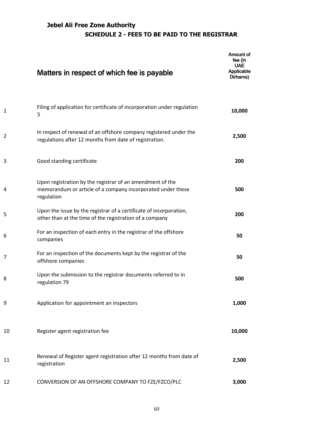# **Jebel Ali Free Zone Authority SCHEDULE 2 - FEES TO BE PAID TO THE REGISTRAR**

|                | Matters in respect of which fee is payable                                                                                             | Amount of<br>fee (in<br><b>UAE</b><br>Applicable<br>Dirhams) |
|----------------|----------------------------------------------------------------------------------------------------------------------------------------|--------------------------------------------------------------|
| $\mathbf{1}$   | Filing of application for certificate of incorporation under regulation<br>5                                                           | 10,000                                                       |
| $\overline{2}$ | In respect of renewal of an offshore company registered under the<br>regulations after 12 months from date of registration.            | 2,500                                                        |
| 3              | Good standing certificate                                                                                                              | 200                                                          |
| 4              | Upon registration by the registrar of an amendment of the<br>memorandum or article of a company incorporated under these<br>regulation | 500                                                          |
| 5              | Upon the issue by the registrar of a certificate of incorporation,<br>other than at the time of the registration of a company          | 200                                                          |
| 6              | For an inspection of each entry in the registrar of the offshore<br>companies                                                          | 50                                                           |
| 7              | For an inspection of the documents kept by the registrar of the<br>offshore companies                                                  | 50                                                           |
| 8              | Upon the submission to the registrar documents referred to in<br>regulation 79                                                         | 500                                                          |
| 9              | Application for appointment an inspectors                                                                                              | 1,000                                                        |
| 10             | Register agent registration fee                                                                                                        | 10,000                                                       |
| 11             | Renewal of Register agent registration after 12 months from date of<br>registration                                                    | 2,500                                                        |
| 12             | CONVERSION OF AN OFFSHORE COMPANY TO FZE/FZCO/PLC                                                                                      | 3,000                                                        |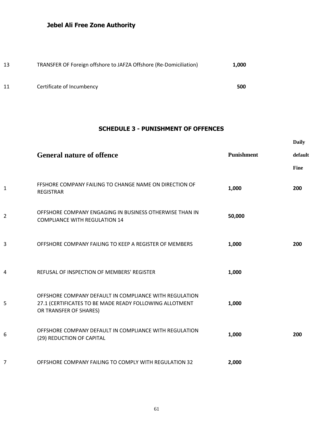| 13 | TRANSFER OF Foreign offshore to JAFZA Offshore (Re-Domiciliation) | 1.000 |
|----|-------------------------------------------------------------------|-------|
| 11 | Certificate of Incumbency                                         | 500   |

## **SCHEDULE 3 - PUNISHMENT OF OFFENCES**

**Daily** 

|   | <b>General nature of offence</b>                                                                                                            | <b>Punishment</b> | default<br>Fine |
|---|---------------------------------------------------------------------------------------------------------------------------------------------|-------------------|-----------------|
| 1 | FFSHORE COMPANY FAILING TO CHANGE NAME ON DIRECTION OF<br><b>REGISTRAR</b>                                                                  | 1,000             | 200             |
| 2 | OFFSHORE COMPANY ENGAGING IN BUSINESS OTHERWISE THAN IN<br><b>COMPLIANCE WITH REGULATION 14</b>                                             | 50,000            |                 |
| 3 | OFFSHORE COMPANY FAILING TO KEEP A REGISTER OF MEMBERS                                                                                      | 1,000             | 200             |
| 4 | REFUSAL OF INSPECTION OF MEMBERS' REGISTER                                                                                                  | 1,000             |                 |
| 5 | OFFSHORE COMPANY DEFAULT IN COMPLIANCE WITH REGULATION<br>27.1 (CERTIFICATES TO BE MADE READY FOLLOWING ALLOTMENT<br>OR TRANSFER OF SHARES) | 1,000             |                 |
| 6 | OFFSHORE COMPANY DEFAULT IN COMPLIANCE WITH REGULATION<br>(29) REDUCTION OF CAPITAL                                                         | 1,000             | 200             |
| 7 | OFFSHORE COMPANY FAILING TO COMPLY WITH REGULATION 32                                                                                       | 2,000             |                 |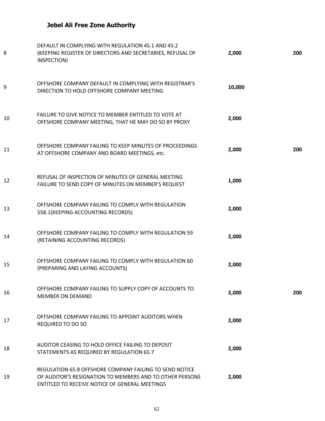| 8  | DEFAULT IN COMPLYING WITH REGULATION 45.1 AND 45.2<br>(KEEPING REGISTER OF DIRECTORS AND SECRETARIES, REFUSAL OF<br>INSPECTION)                                       | 2,000  | 200 |
|----|-----------------------------------------------------------------------------------------------------------------------------------------------------------------------|--------|-----|
| 9  | OFFSHORE COMPANY DEFAULT IN COMPLYING WITH REGISTRAR'S<br>DIRECTION TO HOLD OFFSHORE COMPANY MEETING                                                                  | 10,000 |     |
| 10 | FAILURE TO GIVE NOTICE TO MEMBER ENTITLED TO VOTE AT<br>OFFSHORE COMPANY MEETING, THAT HE MAY DO SO BY PROXY                                                          | 2,000  |     |
| 11 | OFFSHORE COMPANY FAILING TO KEEP MINUTES OF PROCEEDINGS<br>AT OFFSHORE COMPANY AND BOARD MEETINGS, etc.                                                               | 2,000  | 200 |
| 12 | REFUSAL OF INSPECTION OF MINUTES OF GENERAL MEETING<br>FAILURE TO SEND COPY OF MINUTES ON MEMBER'S REQUEST                                                            | 1,000  |     |
| 13 | OFFSHORE COMPANY FAILING TO COMPLY WITH REGULATION<br>558.1(KEEPING ACCOUNTING RECORDS)                                                                               | 2,000  |     |
| 14 | OFFSHORE COMPANY FAILING TO COMPLY WITH REGULATION 59<br>(RETAINING ACCOUNTING RECORDS)                                                                               | 2,000  |     |
| 15 | OFFSHORE COMPANY FAILING TO COMPLY WITH REGULATION 60<br>(PREPARING AND LAYING ACCOUNTS)                                                                              | 2,000  |     |
| 16 | OFFSHORE COMPANY FAILING TO SUPPLY COPY OF ACCOUNTS TO<br><b>MEMBER ON DEMAND</b>                                                                                     | 2,000  | 200 |
| 17 | OFFSHORE COMPANY FAILING TO APPOINT AUDITORS WHEN<br><b>REQUIRED TO DO SO</b>                                                                                         | 2,000  |     |
| 18 | AUDITOR CEASING TO HOLD OFFICE FAILING TO DEPOSIT<br>STATEMENTS AS REQUIRED BY REGULATION 65.7                                                                        | 2,000  |     |
| 19 | REGULATION 65.8 OFFSHORE COMPANY FAILING TO SEND NOTICE<br>OF AUDITOR'S RESIGNATION TO MEMBERS AND TO OTHER PERSONS<br>ENTITLED TO RECEIVE NOTICE OF GENERAL MEETINGS | 2,000  |     |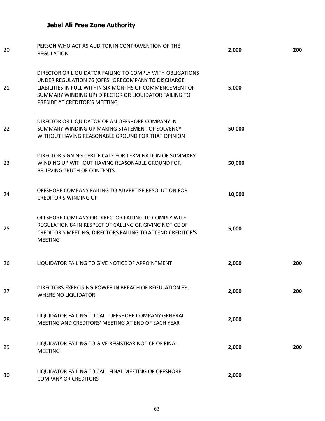| 20 | PERSON WHO ACT AS AUDITOR IN CONTRAVENTION OF THE<br><b>REGULATION</b>                                                                                                                                                                                               | 2,000  | 200 |
|----|----------------------------------------------------------------------------------------------------------------------------------------------------------------------------------------------------------------------------------------------------------------------|--------|-----|
| 21 | DIRECTOR OR LIQUIDATOR FAILING TO COMPLY WITH OBLIGATIONS<br>UNDER REGULATION 76 (OFFSHORECOMPANY TO DISCHARGE<br>LIABILITIES IN FULL WITHIN SIX MONTHS OF COMMENCEMENT OF<br>SUMMARY WINDING UP) DIRECTOR OR LIQUIDATOR FAILING TO<br>PRESIDE AT CREDITOR'S MEETING | 5,000  |     |
| 22 | DIRECTOR OR LIQUIDATOR OF AN OFFSHORE COMPANY IN<br>SUMMARY WINDING UP MAKING STATEMENT OF SOLVENCY<br>WITHOUT HAVING REASONABLE GROUND FOR THAT OPINION                                                                                                             | 50,000 |     |
| 23 | DIRECTOR SIGNING CERTIFICATE FOR TERMINATION OF SUMMARY<br>WINDING UP WITHOUT HAVING REASONABLE GROUND FOR<br><b>BELIEVING TRUTH OF CONTENTS</b>                                                                                                                     | 50,000 |     |
| 24 | OFFSHORE COMPANY FAILING TO ADVERTISE RESOLUTION FOR<br><b>CREDITOR'S WINDING UP</b>                                                                                                                                                                                 | 10,000 |     |
| 25 | OFFSHORE COMPANY OR DIRECTOR FAILING TO COMPLY WITH<br>REGULATION 84 IN RESPECT OF CALLING OR GIVING NOTICE OF<br>CREDITOR'S MEETING, DIRECTORS FAILING TO ATTEND CREDITOR'S<br><b>MEETING</b>                                                                       | 5,000  |     |
| 26 | LIQUIDATOR FAILING TO GIVE NOTICE OF APPOINTMENT                                                                                                                                                                                                                     | 2,000  | 200 |
| 27 | DIRECTORS EXERCISING POWER IN BREACH OF REGULATION 88,<br>WHERE NO LIQUIDATOR                                                                                                                                                                                        | 2,000  | 200 |
| 28 | LIQUIDATOR FAILING TO CALL OFFSHORE COMPANY GENERAL<br>MEETING AND CREDITORS' MEETING AT END OF EACH YEAR                                                                                                                                                            | 2,000  |     |
| 29 | LIQUIDATOR FAILING TO GIVE REGISTRAR NOTICE OF FINAL<br><b>MEETING</b>                                                                                                                                                                                               | 2,000  | 200 |
| 30 | LIQUIDATOR FAILING TO CALL FINAL MEETING OF OFFSHORE<br><b>COMPANY OR CREDITORS</b>                                                                                                                                                                                  | 2,000  |     |